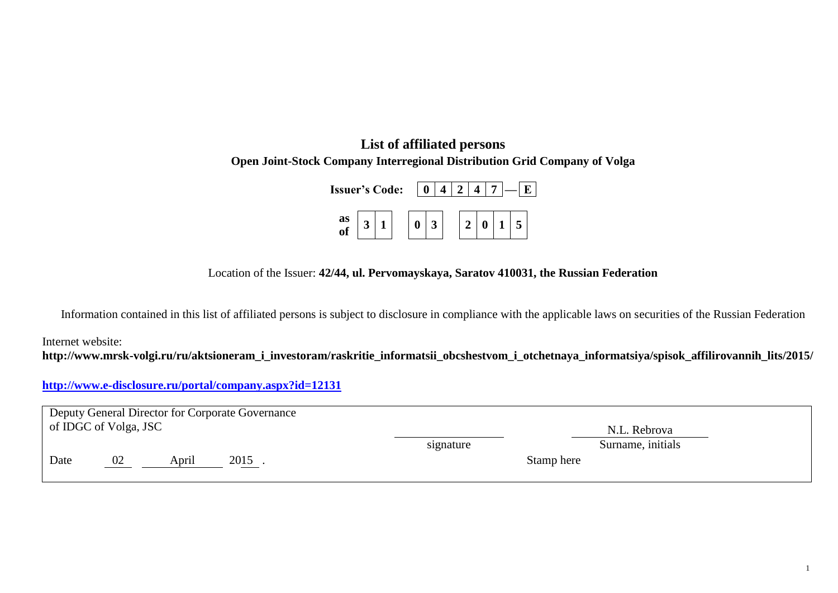## **List of affiliated persons Open Joint-Stock Company Interregional Distribution Grid Company of Volga**

| <b>Issuer's Code:</b> |  |  |  |  |  |  |  |  |
|-----------------------|--|--|--|--|--|--|--|--|
| as<br>of              |  |  |  |  |  |  |  |  |

Location of the Issuer: **42/44, ul. Pervomayskaya, Saratov 410031, the Russian Federation**

Information contained in this list of affiliated persons is subject to disclosure in compliance with the applicable laws on securities of the Russian Federation

Internet website:

**http://www.mrsk-volgi.ru/ru/aktsioneram\_i\_investoram/raskritie\_informatsii\_obcshestvom\_i\_otchetnaya\_informatsiya/spisok\_affilirovannih\_lits/2015/**

## **<http://www.e-disclosure.ru/portal/company.aspx?id=12131>**

|      | Deputy General Director for Corporate Governance<br>of IDGC of Volga, JSC |       |      |            |                   |  |  |  |  |  |
|------|---------------------------------------------------------------------------|-------|------|------------|-------------------|--|--|--|--|--|
|      |                                                                           |       |      |            | N.L. Rebrova      |  |  |  |  |  |
|      |                                                                           |       |      | signature  | Surname, initials |  |  |  |  |  |
| Date | 02                                                                        | April | 2015 | Stamp here |                   |  |  |  |  |  |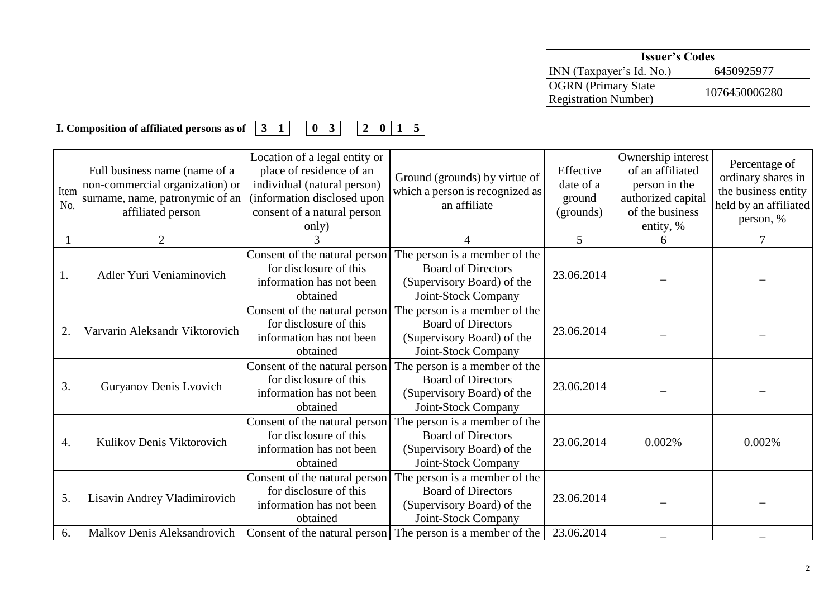| <b>Issuer's Codes</b>                                      |               |  |  |  |  |
|------------------------------------------------------------|---------------|--|--|--|--|
| INN (Taxpayer's Id. No.)                                   | 6450925977    |  |  |  |  |
| <b>OGRN</b> (Primary State)<br><b>Registration Number)</b> | 1076450006280 |  |  |  |  |

## **I. Composition of affiliated persons as of 3 1 0 3 2 0 1 5**

| Item<br>No. | Full business name (name of a<br>non-commercial organization) or<br>surname, name, patronymic of an<br>affiliated person | Location of a legal entity or<br>place of residence of an<br>individual (natural person)<br>(information disclosed upon<br>consent of a natural person<br>only) | Ground (grounds) by virtue of<br>which a person is recognized as<br>an affiliate                                | Effective<br>date of a<br>ground<br>(grounds) | Ownership interest<br>of an affiliated<br>person in the<br>authorized capital<br>of the business<br>entity, % | Percentage of<br>ordinary shares in<br>the business entity<br>held by an affiliated<br>person, % |
|-------------|--------------------------------------------------------------------------------------------------------------------------|-----------------------------------------------------------------------------------------------------------------------------------------------------------------|-----------------------------------------------------------------------------------------------------------------|-----------------------------------------------|---------------------------------------------------------------------------------------------------------------|--------------------------------------------------------------------------------------------------|
|             | 2                                                                                                                        |                                                                                                                                                                 | $\Delta$                                                                                                        | 5                                             | 6                                                                                                             | 7                                                                                                |
| 1.          | Adler Yuri Veniaminovich                                                                                                 | Consent of the natural person<br>for disclosure of this<br>information has not been<br>obtained                                                                 | The person is a member of the<br><b>Board of Directors</b><br>(Supervisory Board) of the<br>Joint-Stock Company | 23.06.2014                                    |                                                                                                               |                                                                                                  |
| 2.          | Varvarin Aleksandr Viktorovich                                                                                           | Consent of the natural person<br>for disclosure of this<br>information has not been<br>obtained                                                                 | The person is a member of the<br><b>Board of Directors</b><br>(Supervisory Board) of the<br>Joint-Stock Company | 23.06.2014                                    |                                                                                                               |                                                                                                  |
| 3.          | Guryanov Denis Lvovich                                                                                                   | Consent of the natural person<br>for disclosure of this<br>information has not been<br>obtained                                                                 | The person is a member of the<br><b>Board of Directors</b><br>(Supervisory Board) of the<br>Joint-Stock Company | 23.06.2014                                    |                                                                                                               |                                                                                                  |
| 4.          | Kulikov Denis Viktorovich                                                                                                | Consent of the natural person<br>for disclosure of this<br>information has not been<br>obtained                                                                 | The person is a member of the<br><b>Board of Directors</b><br>(Supervisory Board) of the<br>Joint-Stock Company | 23.06.2014                                    | 0.002%                                                                                                        | 0.002%                                                                                           |
| 5.          | Lisavin Andrey Vladimirovich                                                                                             | Consent of the natural person<br>for disclosure of this<br>information has not been<br>obtained                                                                 | The person is a member of the<br><b>Board of Directors</b><br>(Supervisory Board) of the<br>Joint-Stock Company | 23.06.2014<br>23.06.2014                      |                                                                                                               |                                                                                                  |
| 6.          | Malkov Denis Aleksandrovich                                                                                              |                                                                                                                                                                 | Consent of the natural person The person is a member of the                                                     |                                               |                                                                                                               |                                                                                                  |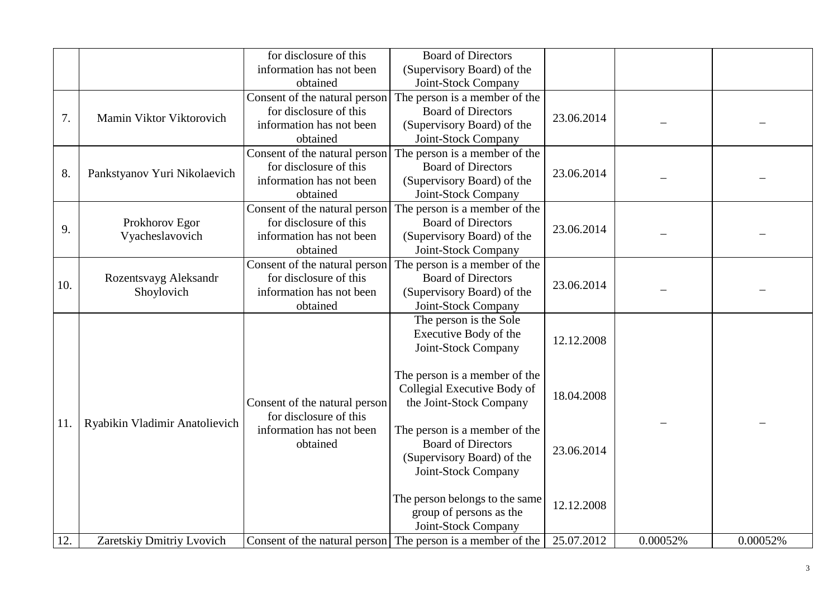|     |                                     | for disclosure of this<br>information has not been                                                          | <b>Board of Directors</b><br>(Supervisory Board) of the                                                                                |            |          |          |
|-----|-------------------------------------|-------------------------------------------------------------------------------------------------------------|----------------------------------------------------------------------------------------------------------------------------------------|------------|----------|----------|
| 7.  | Mamin Viktor Viktorovich            | obtained<br>Consent of the natural person<br>for disclosure of this<br>information has not been<br>obtained | Joint-Stock Company<br>The person is a member of the<br><b>Board of Directors</b><br>(Supervisory Board) of the<br>Joint-Stock Company | 23.06.2014 |          |          |
| 8.  | Pankstyanov Yuri Nikolaevich        | Consent of the natural person<br>for disclosure of this<br>information has not been<br>obtained             | The person is a member of the<br><b>Board of Directors</b><br>(Supervisory Board) of the<br>Joint-Stock Company                        | 23.06.2014 |          |          |
| 9.  | Prokhorov Egor<br>Vyacheslavovich   | Consent of the natural person<br>for disclosure of this<br>information has not been<br>obtained             | The person is a member of the<br><b>Board of Directors</b><br>(Supervisory Board) of the<br>Joint-Stock Company                        | 23.06.2014 |          |          |
| 10. | Rozentsvayg Aleksandr<br>Shoylovich | Consent of the natural person<br>for disclosure of this<br>information has not been<br>obtained             | The person is a member of the<br><b>Board of Directors</b><br>(Supervisory Board) of the<br>Joint-Stock Company                        | 23.06.2014 |          |          |
|     |                                     |                                                                                                             | The person is the Sole<br>Executive Body of the<br>Joint-Stock Company                                                                 | 12.12.2008 |          |          |
|     |                                     | Consent of the natural person<br>for disclosure of this                                                     | The person is a member of the<br>Collegial Executive Body of<br>the Joint-Stock Company                                                | 18.04.2008 |          |          |
| 11. | Ryabikin Vladimir Anatolievich      | information has not been<br>obtained                                                                        | The person is a member of the<br><b>Board of Directors</b><br>(Supervisory Board) of the<br>Joint-Stock Company                        | 23.06.2014 |          |          |
|     |                                     |                                                                                                             | The person belongs to the same<br>group of persons as the<br>Joint-Stock Company                                                       | 12.12.2008 |          |          |
| 12. | Zaretskiy Dmitriy Lvovich           |                                                                                                             | Consent of the natural person The person is a member of the                                                                            | 25.07.2012 | 0.00052% | 0.00052% |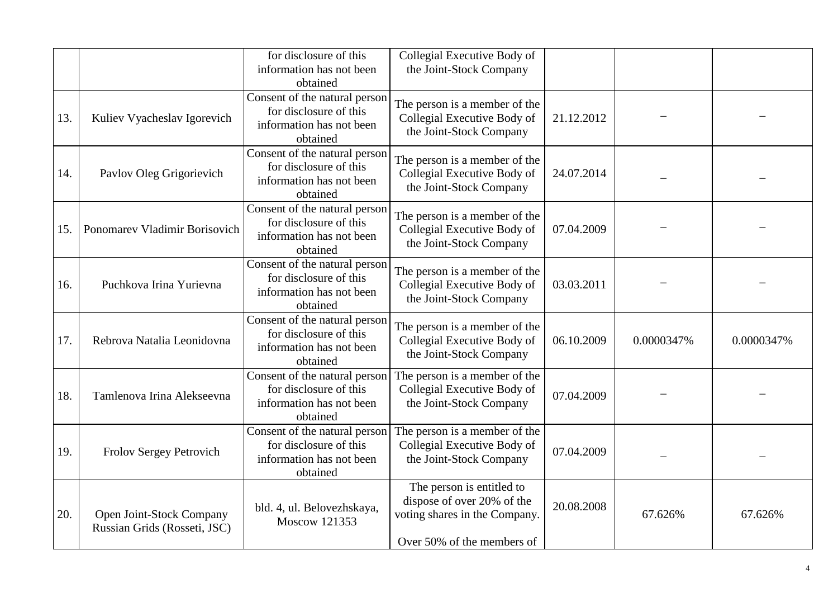|     |                                                          | for disclosure of this<br>information has not been<br>obtained                                  | Collegial Executive Body of<br>the Joint-Stock Company                                                                 |            |            |            |
|-----|----------------------------------------------------------|-------------------------------------------------------------------------------------------------|------------------------------------------------------------------------------------------------------------------------|------------|------------|------------|
| 13. | Kuliev Vyacheslav Igorevich                              | Consent of the natural person<br>for disclosure of this<br>information has not been<br>obtained | The person is a member of the<br>Collegial Executive Body of<br>the Joint-Stock Company                                | 21.12.2012 |            |            |
| 14. | Pavlov Oleg Grigorievich                                 | Consent of the natural person<br>for disclosure of this<br>information has not been<br>obtained | The person is a member of the<br>Collegial Executive Body of<br>the Joint-Stock Company                                | 24.07.2014 |            |            |
| 15. | Ponomarev Vladimir Borisovich                            | Consent of the natural person<br>for disclosure of this<br>information has not been<br>obtained | The person is a member of the<br>Collegial Executive Body of<br>the Joint-Stock Company                                | 07.04.2009 |            |            |
| 16. | Puchkova Irina Yurievna                                  | Consent of the natural person<br>for disclosure of this<br>information has not been<br>obtained | The person is a member of the<br>Collegial Executive Body of<br>the Joint-Stock Company                                | 03.03.2011 |            |            |
| 17. | Rebrova Natalia Leonidovna                               | Consent of the natural person<br>for disclosure of this<br>information has not been<br>obtained | The person is a member of the<br>Collegial Executive Body of<br>the Joint-Stock Company                                | 06.10.2009 | 0.0000347% | 0.0000347% |
| 18. | Tamlenova Irina Alekseevna                               | Consent of the natural person<br>for disclosure of this<br>information has not been<br>obtained | The person is a member of the<br>Collegial Executive Body of<br>the Joint-Stock Company                                | 07.04.2009 |            |            |
| 19. | Frolov Sergey Petrovich                                  | Consent of the natural person<br>for disclosure of this<br>information has not been<br>obtained | The person is a member of the<br>Collegial Executive Body of<br>the Joint-Stock Company                                | 07.04.2009 |            |            |
| 20. | Open Joint-Stock Company<br>Russian Grids (Rosseti, JSC) | bld. 4, ul. Belovezhskaya,<br><b>Moscow 121353</b>                                              | The person is entitled to<br>dispose of over 20% of the<br>voting shares in the Company.<br>Over 50% of the members of | 20.08.2008 | 67.626%    | 67.626%    |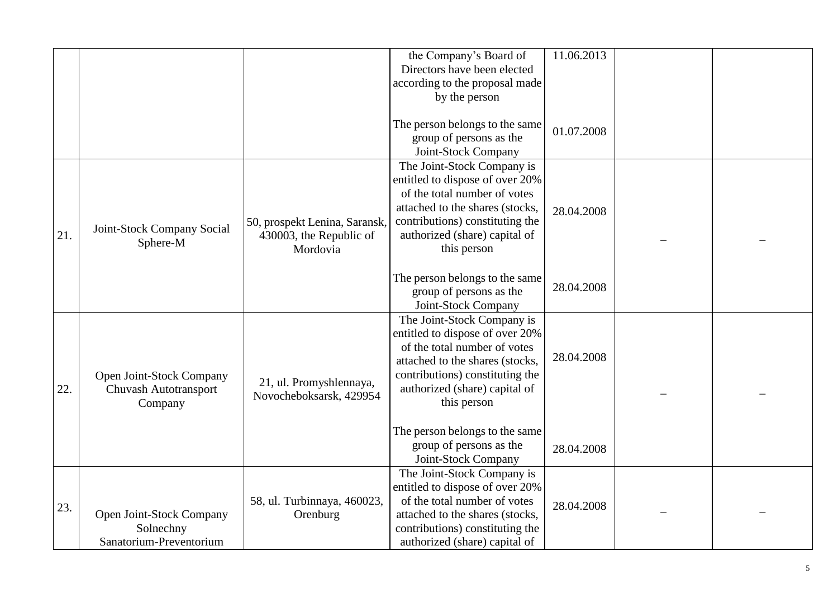|     |                            |                               | the Company's Board of          | 11.06.2013 |  |
|-----|----------------------------|-------------------------------|---------------------------------|------------|--|
|     |                            |                               | Directors have been elected     |            |  |
|     |                            |                               | according to the proposal made  |            |  |
|     |                            |                               | by the person                   |            |  |
|     |                            |                               |                                 |            |  |
|     |                            |                               | The person belongs to the same  |            |  |
|     |                            |                               | group of persons as the         | 01.07.2008 |  |
|     |                            |                               | Joint-Stock Company             |            |  |
|     |                            |                               | The Joint-Stock Company is      |            |  |
|     |                            |                               | entitled to dispose of over 20% |            |  |
|     |                            |                               | of the total number of votes    |            |  |
|     |                            |                               | attached to the shares (stocks, | 28.04.2008 |  |
|     |                            | 50, prospekt Lenina, Saransk, | contributions) constituting the |            |  |
| 21. | Joint-Stock Company Social | 430003, the Republic of       | authorized (share) capital of   |            |  |
|     | Sphere-M                   | Mordovia                      | this person                     |            |  |
|     |                            |                               |                                 |            |  |
|     |                            |                               | The person belongs to the same  |            |  |
|     |                            |                               | group of persons as the         | 28.04.2008 |  |
|     |                            |                               | Joint-Stock Company             |            |  |
|     |                            |                               | The Joint-Stock Company is      |            |  |
|     |                            |                               | entitled to dispose of over 20% |            |  |
|     |                            |                               | of the total number of votes    |            |  |
|     |                            |                               | attached to the shares (stocks, | 28.04.2008 |  |
|     | Open Joint-Stock Company   |                               | contributions) constituting the |            |  |
| 22. | Chuvash Autotransport      | 21, ul. Promyshlennaya,       | authorized (share) capital of   |            |  |
|     | Company                    | Novocheboksarsk, 429954       | this person                     |            |  |
|     |                            |                               |                                 |            |  |
|     |                            |                               | The person belongs to the same  |            |  |
|     |                            |                               | group of persons as the         | 28.04.2008 |  |
|     |                            |                               | Joint-Stock Company             |            |  |
|     |                            |                               | The Joint-Stock Company is      |            |  |
|     |                            |                               | entitled to dispose of over 20% |            |  |
|     |                            | 58, ul. Turbinnaya, 460023,   | of the total number of votes    | 28.04.2008 |  |
| 23. | Open Joint-Stock Company   | Orenburg                      | attached to the shares (stocks, |            |  |
|     | Solnechny                  |                               | contributions) constituting the |            |  |
|     | Sanatorium-Preventorium    |                               | authorized (share) capital of   |            |  |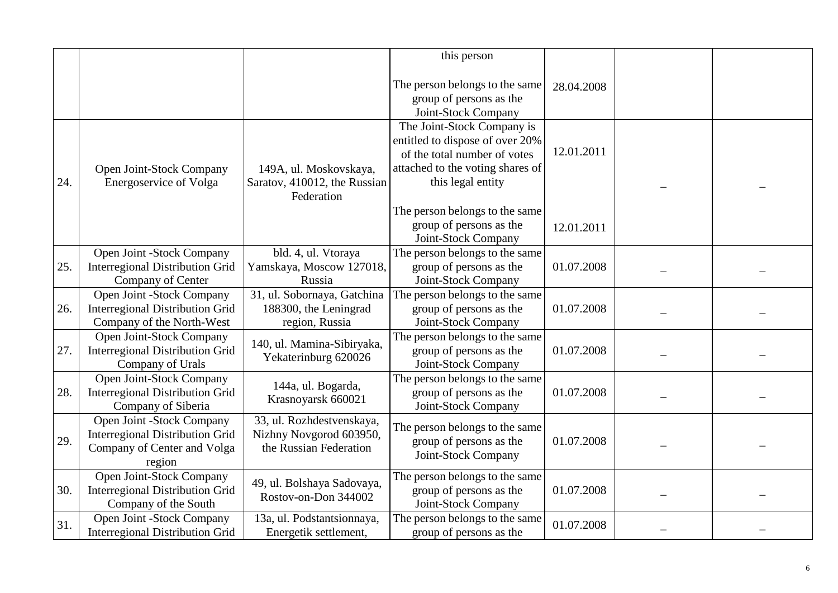|     |                                                                                                              |                                                                                | this person                                                                                                                                            |            |  |
|-----|--------------------------------------------------------------------------------------------------------------|--------------------------------------------------------------------------------|--------------------------------------------------------------------------------------------------------------------------------------------------------|------------|--|
|     |                                                                                                              |                                                                                | The person belongs to the same<br>group of persons as the<br>Joint-Stock Company                                                                       | 28.04.2008 |  |
| 24. | Open Joint-Stock Company<br><b>Energoservice of Volga</b>                                                    | 149A, ul. Moskovskaya,<br>Saratov, 410012, the Russian<br>Federation           | The Joint-Stock Company is<br>entitled to dispose of over 20%<br>of the total number of votes<br>attached to the voting shares of<br>this legal entity | 12.01.2011 |  |
|     |                                                                                                              |                                                                                | The person belongs to the same<br>group of persons as the<br>Joint-Stock Company                                                                       | 12.01.2011 |  |
| 25. | Open Joint -Stock Company<br><b>Interregional Distribution Grid</b><br>Company of Center                     | bld. 4, ul. Vtoraya<br>Yamskaya, Moscow 127018,<br>Russia                      | The person belongs to the same<br>group of persons as the<br>Joint-Stock Company                                                                       | 01.07.2008 |  |
| 26. | Open Joint -Stock Company<br><b>Interregional Distribution Grid</b><br>Company of the North-West             | 31, ul. Sobornaya, Gatchina<br>188300, the Leningrad<br>region, Russia         | The person belongs to the same<br>group of persons as the<br>Joint-Stock Company                                                                       | 01.07.2008 |  |
| 27. | Open Joint-Stock Company<br><b>Interregional Distribution Grid</b><br>Company of Urals                       | 140, ul. Mamina-Sibiryaka,<br>Yekaterinburg 620026                             | The person belongs to the same<br>group of persons as the<br>Joint-Stock Company                                                                       | 01.07.2008 |  |
| 28. | Open Joint-Stock Company<br><b>Interregional Distribution Grid</b><br>Company of Siberia                     | 144a, ul. Bogarda,<br>Krasnoyarsk 660021                                       | The person belongs to the same<br>group of persons as the<br>Joint-Stock Company                                                                       | 01.07.2008 |  |
| 29. | Open Joint -Stock Company<br><b>Interregional Distribution Grid</b><br>Company of Center and Volga<br>region | 33, ul. Rozhdestvenskaya,<br>Nizhny Novgorod 603950,<br>the Russian Federation | The person belongs to the same<br>group of persons as the<br>Joint-Stock Company                                                                       | 01.07.2008 |  |
| 30. | Open Joint-Stock Company<br><b>Interregional Distribution Grid</b><br>Company of the South                   | 49, ul. Bolshaya Sadovaya,<br>Rostov-on-Don 344002                             | The person belongs to the same<br>group of persons as the<br>Joint-Stock Company                                                                       | 01.07.2008 |  |
| 31. | Open Joint -Stock Company<br><b>Interregional Distribution Grid</b>                                          | 13a, ul. Podstantsionnaya,<br>Energetik settlement,                            | The person belongs to the same<br>group of persons as the                                                                                              | 01.07.2008 |  |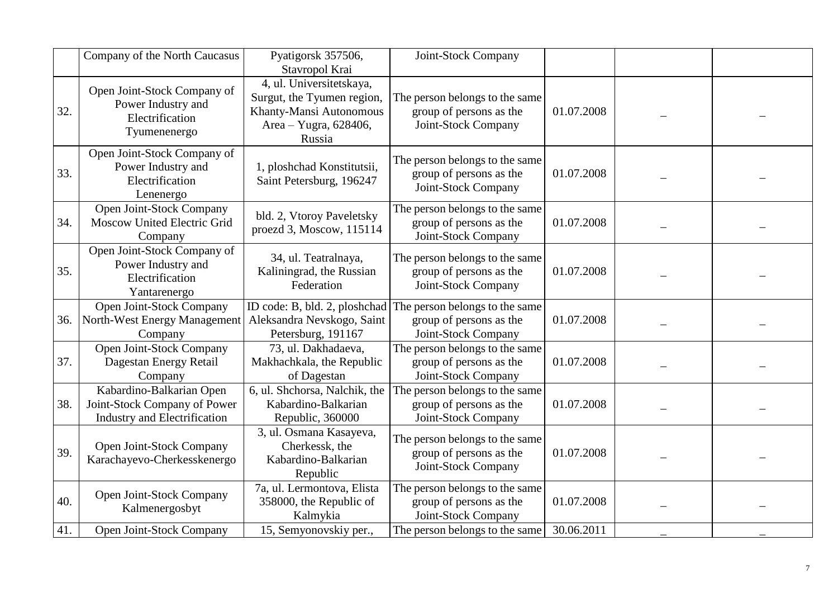|     | Company of the North Caucasus                                                            | Pyatigorsk 357506,<br>Stavropol Krai                                                                                 | Joint-Stock Company                                                              |            |  |
|-----|------------------------------------------------------------------------------------------|----------------------------------------------------------------------------------------------------------------------|----------------------------------------------------------------------------------|------------|--|
| 32. | Open Joint-Stock Company of<br>Power Industry and<br>Electrification<br>Tyumenenergo     | 4, ul. Universitetskaya,<br>Surgut, the Tyumen region,<br>Khanty-Mansi Autonomous<br>Area - Yugra, 628406,<br>Russia | The person belongs to the same<br>group of persons as the<br>Joint-Stock Company | 01.07.2008 |  |
| 33. | Open Joint-Stock Company of<br>Power Industry and<br>Electrification<br>Lenenergo        | 1, ploshchad Konstitutsii,<br>Saint Petersburg, 196247                                                               | The person belongs to the same<br>group of persons as the<br>Joint-Stock Company | 01.07.2008 |  |
| 34. | Open Joint-Stock Company<br>Moscow United Electric Grid<br>Company                       | bld. 2, Vtoroy Paveletsky<br>proezd 3, Moscow, 115114                                                                | The person belongs to the same<br>group of persons as the<br>Joint-Stock Company | 01.07.2008 |  |
| 35. | Open Joint-Stock Company of<br>Power Industry and<br>Electrification<br>Yantarenergo     | 34, ul. Teatralnaya,<br>Kaliningrad, the Russian<br>Federation                                                       | The person belongs to the same<br>group of persons as the<br>Joint-Stock Company | 01.07.2008 |  |
| 36. | Open Joint-Stock Company<br>North-West Energy Management<br>Company                      | ID code: B, bld. 2, ploshchad<br>Aleksandra Nevskogo, Saint<br>Petersburg, 191167                                    | The person belongs to the same<br>group of persons as the<br>Joint-Stock Company | 01.07.2008 |  |
| 37. | Open Joint-Stock Company<br>Dagestan Energy Retail<br>Company                            | 73, ul. Dakhadaeva,<br>Makhachkala, the Republic<br>of Dagestan                                                      | The person belongs to the same<br>group of persons as the<br>Joint-Stock Company | 01.07.2008 |  |
| 38. | Kabardino-Balkarian Open<br>Joint-Stock Company of Power<br>Industry and Electrification | 6, ul. Shchorsa, Nalchik, the<br>Kabardino-Balkarian<br>Republic, 360000                                             | The person belongs to the same<br>group of persons as the<br>Joint-Stock Company | 01.07.2008 |  |
| 39. | Open Joint-Stock Company<br>Karachayevo-Cherkesskenergo                                  | 3, ul. Osmana Kasayeva,<br>Cherkessk, the<br>Kabardino-Balkarian<br>Republic                                         | The person belongs to the same<br>group of persons as the<br>Joint-Stock Company | 01.07.2008 |  |
| 40. | Open Joint-Stock Company<br>Kalmenergosbyt                                               | 7a, ul. Lermontova, Elista<br>358000, the Republic of<br>Kalmykia                                                    | The person belongs to the same<br>group of persons as the<br>Joint-Stock Company | 01.07.2008 |  |
| 41. | Open Joint-Stock Company                                                                 | 15, Semyonovskiy per.,                                                                                               | The person belongs to the same                                                   | 30.06.2011 |  |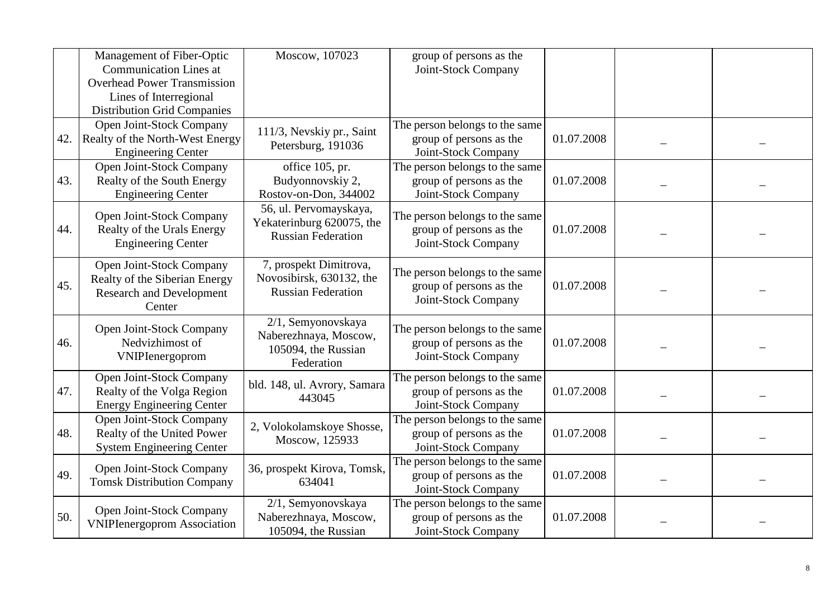|     | Management of Fiber-Optic<br><b>Communication Lines at</b>                                             | Moscow, 107023                                                                   | group of persons as the<br>Joint-Stock Company                                   |            |  |
|-----|--------------------------------------------------------------------------------------------------------|----------------------------------------------------------------------------------|----------------------------------------------------------------------------------|------------|--|
|     | <b>Overhead Power Transmission</b>                                                                     |                                                                                  |                                                                                  |            |  |
|     | Lines of Interregional                                                                                 |                                                                                  |                                                                                  |            |  |
|     | <b>Distribution Grid Companies</b>                                                                     |                                                                                  |                                                                                  |            |  |
| 42. | Open Joint-Stock Company<br>Realty of the North-West Energy<br><b>Engineering Center</b>               | 111/3, Nevskiy pr., Saint<br>Petersburg, 191036                                  | The person belongs to the same<br>group of persons as the<br>Joint-Stock Company | 01.07.2008 |  |
|     | Open Joint-Stock Company                                                                               | office 105, pr.                                                                  | The person belongs to the same                                                   |            |  |
| 43. | Realty of the South Energy<br><b>Engineering Center</b>                                                | Budyonnovskiy 2,<br>Rostov-on-Don, 344002                                        | group of persons as the<br>Joint-Stock Company                                   | 01.07.2008 |  |
| 44. | Open Joint-Stock Company<br>Realty of the Urals Energy<br><b>Engineering Center</b>                    | 56, ul. Pervomayskaya,<br>Yekaterinburg 620075, the<br><b>Russian Federation</b> | The person belongs to the same<br>group of persons as the<br>Joint-Stock Company | 01.07.2008 |  |
| 45. | Open Joint-Stock Company<br>Realty of the Siberian Energy<br><b>Research and Development</b><br>Center | 7, prospekt Dimitrova,<br>Novosibirsk, 630132, the<br><b>Russian Federation</b>  | The person belongs to the same<br>group of persons as the<br>Joint-Stock Company | 01.07.2008 |  |
| 46. | Open Joint-Stock Company<br>Nedvizhimost of<br>VNIPIenergoprom                                         | 2/1, Semyonovskaya<br>Naberezhnaya, Moscow,<br>105094, the Russian<br>Federation | The person belongs to the same<br>group of persons as the<br>Joint-Stock Company | 01.07.2008 |  |
| 47. | Open Joint-Stock Company<br>Realty of the Volga Region<br><b>Energy Engineering Center</b>             | bld. 148, ul. Avrory, Samara<br>443045                                           | The person belongs to the same<br>group of persons as the<br>Joint-Stock Company | 01.07.2008 |  |
| 48. | Open Joint-Stock Company<br>Realty of the United Power<br><b>System Engineering Center</b>             | 2, Volokolamskoye Shosse,<br>Moscow, 125933                                      | The person belongs to the same<br>group of persons as the<br>Joint-Stock Company | 01.07.2008 |  |
| 49. | Open Joint-Stock Company<br><b>Tomsk Distribution Company</b>                                          | 36, prospekt Kirova, Tomsk,<br>634041                                            | The person belongs to the same<br>group of persons as the<br>Joint-Stock Company | 01.07.2008 |  |
| 50. | Open Joint-Stock Company<br><b>VNIPIenergoprom Association</b>                                         | 2/1, Semyonovskaya<br>Naberezhnaya, Moscow,<br>105094, the Russian               | The person belongs to the same<br>group of persons as the<br>Joint-Stock Company | 01.07.2008 |  |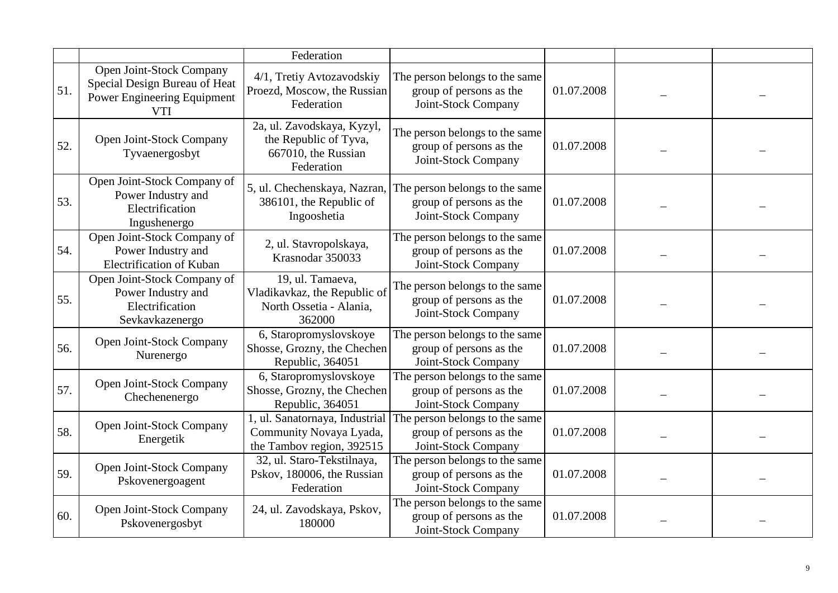|     |                                                                                                        | Federation                                                                               |                                                                                  |            |  |
|-----|--------------------------------------------------------------------------------------------------------|------------------------------------------------------------------------------------------|----------------------------------------------------------------------------------|------------|--|
| 51. | Open Joint-Stock Company<br>Special Design Bureau of Heat<br>Power Engineering Equipment<br><b>VTI</b> | 4/1, Tretiy Avtozavodskiy<br>Proezd, Moscow, the Russian<br>Federation                   | The person belongs to the same<br>group of persons as the<br>Joint-Stock Company | 01.07.2008 |  |
| 52. | Open Joint-Stock Company<br>Tyvaenergosbyt                                                             | 2a, ul. Zavodskaya, Kyzyl,<br>the Republic of Tyva,<br>667010, the Russian<br>Federation | The person belongs to the same<br>group of persons as the<br>Joint-Stock Company | 01.07.2008 |  |
| 53. | Open Joint-Stock Company of<br>Power Industry and<br>Electrification<br>Ingushenergo                   | 5, ul. Chechenskaya, Nazran,<br>386101, the Republic of<br>Ingooshetia                   | The person belongs to the same<br>group of persons as the<br>Joint-Stock Company | 01.07.2008 |  |
| 54. | Open Joint-Stock Company of<br>Power Industry and<br>Electrification of Kuban                          | 2, ul. Stavropolskaya,<br>Krasnodar 350033                                               | The person belongs to the same<br>group of persons as the<br>Joint-Stock Company | 01.07.2008 |  |
| 55. | Open Joint-Stock Company of<br>Power Industry and<br>Electrification<br>Sevkavkazenergo                | 19, ul. Tamaeva,<br>Vladikavkaz, the Republic of<br>North Ossetia - Alania,<br>362000    | The person belongs to the same<br>group of persons as the<br>Joint-Stock Company | 01.07.2008 |  |
| 56. | Open Joint-Stock Company<br>Nurenergo                                                                  | 6, Staropromyslovskoye<br>Shosse, Grozny, the Chechen<br>Republic, 364051                | The person belongs to the same<br>group of persons as the<br>Joint-Stock Company | 01.07.2008 |  |
| 57. | Open Joint-Stock Company<br>Chechenenergo                                                              | 6, Staropromyslovskoye<br>Shosse, Grozny, the Chechen<br>Republic, 364051                | The person belongs to the same<br>group of persons as the<br>Joint-Stock Company | 01.07.2008 |  |
| 58. | Open Joint-Stock Company<br>Energetik                                                                  | 1, ul. Sanatornaya, Industrial<br>Community Novaya Lyada,<br>the Tambov region, 392515   | The person belongs to the same<br>group of persons as the<br>Joint-Stock Company | 01.07.2008 |  |
| 59. | Open Joint-Stock Company<br>Pskovenergoagent                                                           | 32, ul. Staro-Tekstilnaya,<br>Pskov, 180006, the Russian<br>Federation                   | The person belongs to the same<br>group of persons as the<br>Joint-Stock Company | 01.07.2008 |  |
| 60. | Open Joint-Stock Company<br>Pskovenergosbyt                                                            | 24, ul. Zavodskaya, Pskov,<br>180000                                                     | The person belongs to the same<br>group of persons as the<br>Joint-Stock Company | 01.07.2008 |  |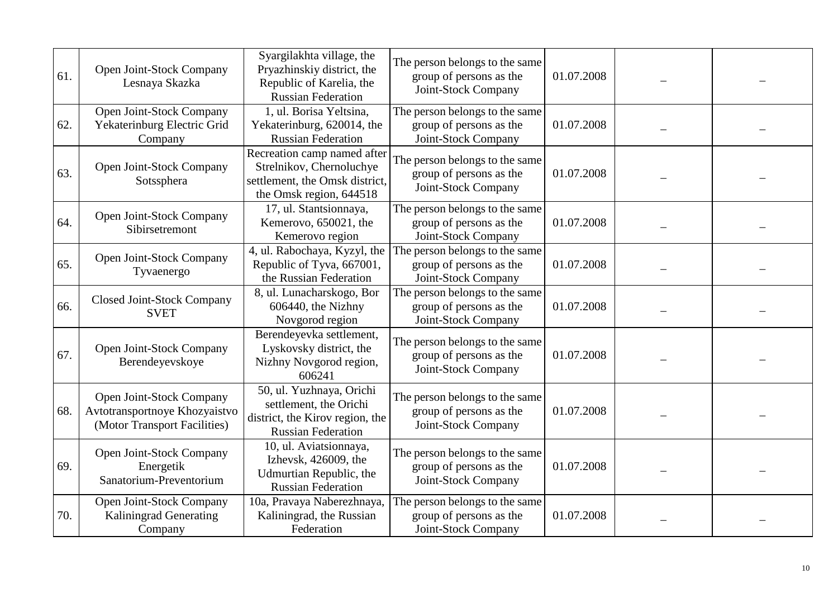| 61. | Open Joint-Stock Company<br>Lesnaya Skazka                                                | Syargilakhta village, the<br>Pryazhinskiy district, the<br>Republic of Karelia, the<br><b>Russian Federation</b>     | The person belongs to the same<br>group of persons as the<br>Joint-Stock Company | 01.07.2008 |  |
|-----|-------------------------------------------------------------------------------------------|----------------------------------------------------------------------------------------------------------------------|----------------------------------------------------------------------------------|------------|--|
| 62. | Open Joint-Stock Company<br>Yekaterinburg Electric Grid<br>Company                        | 1, ul. Borisa Yeltsina,<br>Yekaterinburg, 620014, the<br><b>Russian Federation</b>                                   | The person belongs to the same<br>group of persons as the<br>Joint-Stock Company | 01.07.2008 |  |
| 63. | Open Joint-Stock Company<br>Sotssphera                                                    | Recreation camp named after<br>Strelnikov, Chernoluchye<br>settlement, the Omsk district,<br>the Omsk region, 644518 | The person belongs to the same<br>group of persons as the<br>Joint-Stock Company | 01.07.2008 |  |
| 64. | Open Joint-Stock Company<br>Sibirsetremont                                                | 17, ul. Stantsionnaya,<br>Kemerovo, 650021, the<br>Kemerovo region                                                   | The person belongs to the same<br>group of persons as the<br>Joint-Stock Company | 01.07.2008 |  |
| 65. | Open Joint-Stock Company<br>Tyvaenergo                                                    | 4, ul. Rabochaya, Kyzyl, the<br>Republic of Tyva, 667001,<br>the Russian Federation                                  | The person belongs to the same<br>group of persons as the<br>Joint-Stock Company | 01.07.2008 |  |
| 66. | <b>Closed Joint-Stock Company</b><br><b>SVET</b>                                          | 8, ul. Lunacharskogo, Bor<br>606440, the Nizhny<br>Novgorod region                                                   | The person belongs to the same<br>group of persons as the<br>Joint-Stock Company | 01.07.2008 |  |
| 67. | Open Joint-Stock Company<br>Berendeyevskoye                                               | Berendeyevka settlement,<br>Lyskovsky district, the<br>Nizhny Novgorod region,<br>606241                             | The person belongs to the same<br>group of persons as the<br>Joint-Stock Company | 01.07.2008 |  |
| 68. | Open Joint-Stock Company<br>Avtotransportnoye Khozyaistvo<br>(Motor Transport Facilities) | 50, ul. Yuzhnaya, Orichi<br>settlement, the Orichi<br>district, the Kirov region, the<br><b>Russian Federation</b>   | The person belongs to the same<br>group of persons as the<br>Joint-Stock Company | 01.07.2008 |  |
| 69. | Open Joint-Stock Company<br>Energetik<br>Sanatorium-Preventorium                          | 10, ul. Aviatsionnaya,<br>Izhevsk, 426009, the<br>Udmurtian Republic, the<br><b>Russian Federation</b>               | The person belongs to the same<br>group of persons as the<br>Joint-Stock Company | 01.07.2008 |  |
| 70. | Open Joint-Stock Company<br><b>Kaliningrad Generating</b><br>Company                      | 10a, Pravaya Naberezhnaya,<br>Kaliningrad, the Russian<br>Federation                                                 | The person belongs to the same<br>group of persons as the<br>Joint-Stock Company | 01.07.2008 |  |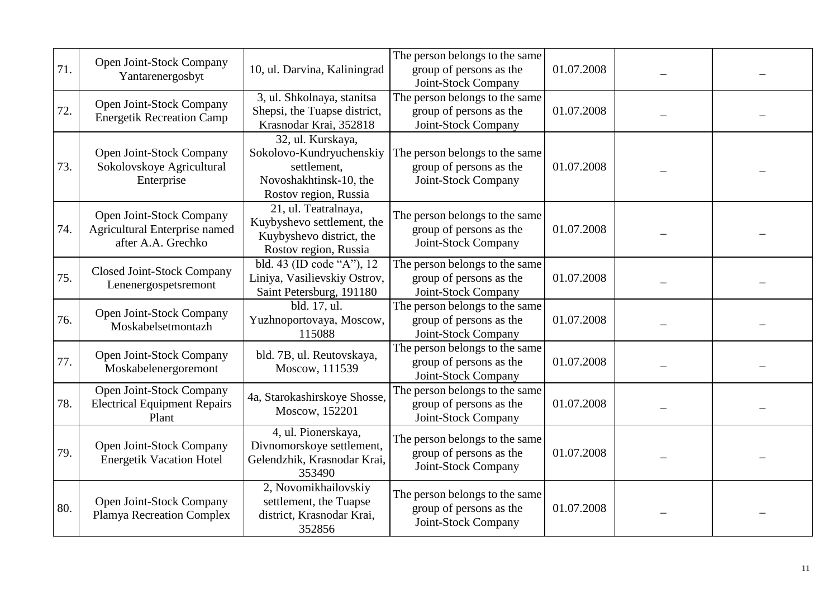| 71. | Open Joint-Stock Company<br>Yantarenergosbyt                                    | 10, ul. Darvina, Kaliningrad                                                                                    | The person belongs to the same<br>group of persons as the<br>Joint-Stock Company | 01.07.2008 |  |
|-----|---------------------------------------------------------------------------------|-----------------------------------------------------------------------------------------------------------------|----------------------------------------------------------------------------------|------------|--|
| 72. | Open Joint-Stock Company<br><b>Energetik Recreation Camp</b>                    | 3, ul. Shkolnaya, stanitsa<br>Shepsi, the Tuapse district,<br>Krasnodar Krai, 352818                            | The person belongs to the same<br>group of persons as the<br>Joint-Stock Company | 01.07.2008 |  |
| 73. | Open Joint-Stock Company<br>Sokolovskoye Agricultural<br>Enterprise             | 32, ul. Kurskaya,<br>Sokolovo-Kundryuchenskiy<br>settlement.<br>Novoshakhtinsk-10, the<br>Rostov region, Russia | The person belongs to the same<br>group of persons as the<br>Joint-Stock Company | 01.07.2008 |  |
| 74. | Open Joint-Stock Company<br>Agricultural Enterprise named<br>after A.A. Grechko | 21, ul. Teatralnaya,<br>Kuybyshevo settlement, the<br>Kuybyshevo district, the<br>Rostov region, Russia         | The person belongs to the same<br>group of persons as the<br>Joint-Stock Company | 01.07.2008 |  |
| 75. | <b>Closed Joint-Stock Company</b><br>Lenenergospetsremont                       | bld. 43 (ID code "A"), 12<br>Liniya, Vasilievskiy Ostrov,<br>Saint Petersburg, 191180                           | The person belongs to the same<br>group of persons as the<br>Joint-Stock Company | 01.07.2008 |  |
| 76. | Open Joint-Stock Company<br>Moskabelsetmontazh                                  | bld. 17, ul.<br>Yuzhnoportovaya, Moscow,<br>115088                                                              | The person belongs to the same<br>group of persons as the<br>Joint-Stock Company | 01.07.2008 |  |
| 77. | Open Joint-Stock Company<br>Moskabelenergoremont                                | bld. 7B, ul. Reutovskaya,<br>Moscow, 111539                                                                     | The person belongs to the same<br>group of persons as the<br>Joint-Stock Company | 01.07.2008 |  |
| 78. | Open Joint-Stock Company<br><b>Electrical Equipment Repairs</b><br>Plant        | 4a, Starokashirskoye Shosse,<br>Moscow, 152201                                                                  | The person belongs to the same<br>group of persons as the<br>Joint-Stock Company | 01.07.2008 |  |
| 79. | Open Joint-Stock Company<br><b>Energetik Vacation Hotel</b>                     | 4, ul. Pionerskaya,<br>Divnomorskoye settlement,<br>Gelendzhik, Krasnodar Krai,<br>353490                       | The person belongs to the same<br>group of persons as the<br>Joint-Stock Company | 01.07.2008 |  |
| 80. | Open Joint-Stock Company<br>Plamya Recreation Complex                           | 2, Novomikhailovskiy<br>settlement, the Tuapse<br>district, Krasnodar Krai,<br>352856                           | The person belongs to the same<br>group of persons as the<br>Joint-Stock Company | 01.07.2008 |  |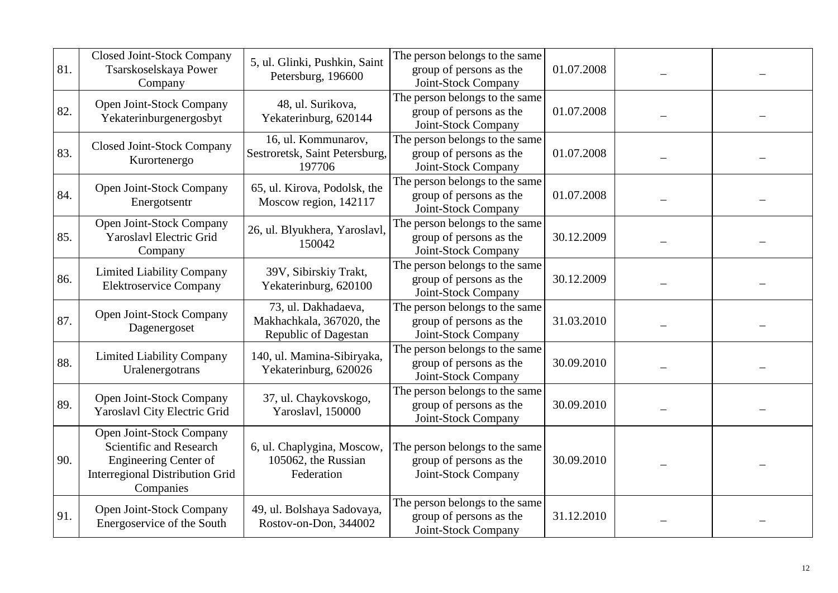| 81. | <b>Closed Joint-Stock Company</b><br>Tsarskoselskaya Power<br>Company                                                                      | 5, ul. Glinki, Pushkin, Saint<br>Petersburg, 196600                     | The person belongs to the same<br>group of persons as the<br>Joint-Stock Company | 01.07.2008 |  |
|-----|--------------------------------------------------------------------------------------------------------------------------------------------|-------------------------------------------------------------------------|----------------------------------------------------------------------------------|------------|--|
| 82. | Open Joint-Stock Company<br>Yekaterinburgenergosbyt                                                                                        | 48, ul. Surikova,<br>Yekaterinburg, 620144                              | The person belongs to the same<br>group of persons as the<br>Joint-Stock Company | 01.07.2008 |  |
| 83. | <b>Closed Joint-Stock Company</b><br>Kurortenergo                                                                                          | 16, ul. Kommunarov,<br>Sestroretsk, Saint Petersburg,<br>197706         | The person belongs to the same<br>group of persons as the<br>Joint-Stock Company | 01.07.2008 |  |
| 84. | Open Joint-Stock Company<br>Energotsentr                                                                                                   | 65, ul. Kirova, Podolsk, the<br>Moscow region, 142117                   | The person belongs to the same<br>group of persons as the<br>Joint-Stock Company | 01.07.2008 |  |
| 85. | Open Joint-Stock Company<br><b>Yaroslavl Electric Grid</b><br>Company                                                                      | 26, ul. Blyukhera, Yaroslavl,<br>150042                                 | The person belongs to the same<br>group of persons as the<br>Joint-Stock Company | 30.12.2009 |  |
| 86. | <b>Limited Liability Company</b><br><b>Elektroservice Company</b>                                                                          | 39V, Sibirskiy Trakt,<br>Yekaterinburg, 620100                          | The person belongs to the same<br>group of persons as the<br>Joint-Stock Company | 30.12.2009 |  |
| 87. | Open Joint-Stock Company<br>Dagenergoset                                                                                                   | 73, ul. Dakhadaeva,<br>Makhachkala, 367020, the<br>Republic of Dagestan | The person belongs to the same<br>group of persons as the<br>Joint-Stock Company | 31.03.2010 |  |
| 88. | <b>Limited Liability Company</b><br>Uralenergotrans                                                                                        | 140, ul. Mamina-Sibiryaka,<br>Yekaterinburg, 620026                     | The person belongs to the same<br>group of persons as the<br>Joint-Stock Company | 30.09.2010 |  |
| 89. | Open Joint-Stock Company<br>Yaroslavl City Electric Grid                                                                                   | 37, ul. Chaykovskogo,<br>Yaroslavl, 150000                              | The person belongs to the same<br>group of persons as the<br>Joint-Stock Company | 30.09.2010 |  |
| 90. | Open Joint-Stock Company<br>Scientific and Research<br><b>Engineering Center of</b><br><b>Interregional Distribution Grid</b><br>Companies | 6, ul. Chaplygina, Moscow,<br>105062, the Russian<br>Federation         | The person belongs to the same<br>group of persons as the<br>Joint-Stock Company | 30.09.2010 |  |
| 91. | Open Joint-Stock Company<br>Energoservice of the South                                                                                     | 49, ul. Bolshaya Sadovaya,<br>Rostov-on-Don, 344002                     | The person belongs to the same<br>group of persons as the<br>Joint-Stock Company | 31.12.2010 |  |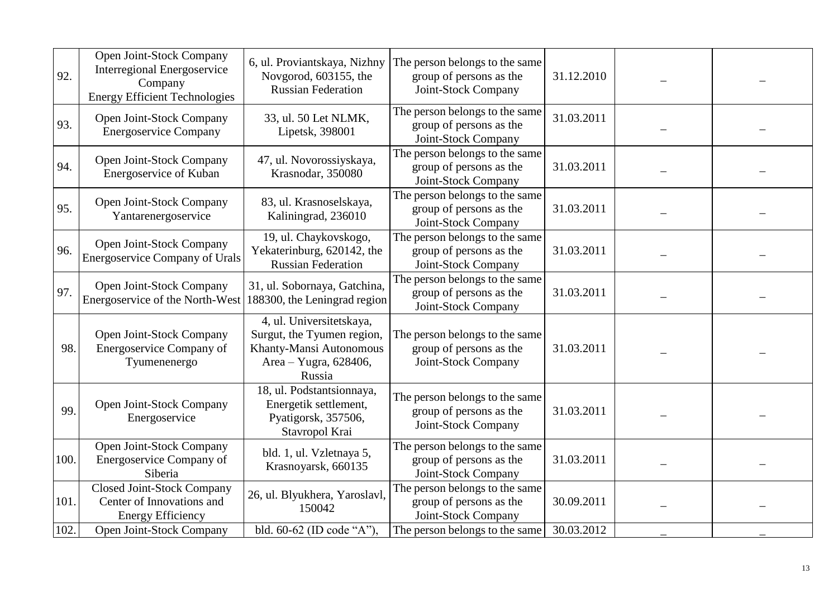| 92.  | Open Joint-Stock Company<br><b>Interregional Energoservice</b><br>Company<br><b>Energy Efficient Technologies</b> | 6, ul. Proviantskaya, Nizhny<br>Novgorod, 603155, the<br><b>Russian Federation</b>                                   | The person belongs to the same<br>group of persons as the<br>Joint-Stock Company | 31.12.2010 |  |
|------|-------------------------------------------------------------------------------------------------------------------|----------------------------------------------------------------------------------------------------------------------|----------------------------------------------------------------------------------|------------|--|
| 93.  | Open Joint-Stock Company<br><b>Energoservice Company</b>                                                          | 33, ul. 50 Let NLMK,<br>Lipetsk, 398001                                                                              | The person belongs to the same<br>group of persons as the<br>Joint-Stock Company | 31.03.2011 |  |
| 94.  | Open Joint-Stock Company<br>Energoservice of Kuban                                                                | 47, ul. Novorossiyskaya,<br>Krasnodar, 350080                                                                        | The person belongs to the same<br>group of persons as the<br>Joint-Stock Company | 31.03.2011 |  |
| 95.  | Open Joint-Stock Company<br>Yantarenergoservice                                                                   | 83, ul. Krasnoselskaya,<br>Kaliningrad, 236010                                                                       | The person belongs to the same<br>group of persons as the<br>Joint-Stock Company | 31.03.2011 |  |
| 96.  | Open Joint-Stock Company<br><b>Energoservice Company of Urals</b>                                                 | 19, ul. Chaykovskogo,<br>Yekaterinburg, 620142, the<br><b>Russian Federation</b>                                     | The person belongs to the same<br>group of persons as the<br>Joint-Stock Company | 31.03.2011 |  |
| 97.  | Open Joint-Stock Company<br>Energoservice of the North-West 188300, the Leningrad region                          | 31, ul. Sobornaya, Gatchina,                                                                                         | The person belongs to the same<br>group of persons as the<br>Joint-Stock Company | 31.03.2011 |  |
| 98.  | Open Joint-Stock Company<br>Energoservice Company of<br>Tyumenenergo                                              | 4, ul. Universitetskaya,<br>Surgut, the Tyumen region,<br>Khanty-Mansi Autonomous<br>Area - Yugra, 628406,<br>Russia | The person belongs to the same<br>group of persons as the<br>Joint-Stock Company | 31.03.2011 |  |
| 99.  | Open Joint-Stock Company<br>Energoservice                                                                         | 18, ul. Podstantsionnaya,<br>Energetik settlement,<br>Pyatigorsk, 357506,<br>Stavropol Krai                          | The person belongs to the same<br>group of persons as the<br>Joint-Stock Company | 31.03.2011 |  |
| 100. | Open Joint-Stock Company<br>Energoservice Company of<br>Siberia                                                   | bld. 1, ul. Vzletnaya 5,<br>Krasnoyarsk, 660135                                                                      | The person belongs to the same<br>group of persons as the<br>Joint-Stock Company | 31.03.2011 |  |
| 101. | <b>Closed Joint-Stock Company</b><br>Center of Innovations and<br><b>Energy Efficiency</b>                        | 26, ul. Blyukhera, Yaroslavl,<br>150042                                                                              | The person belongs to the same<br>group of persons as the<br>Joint-Stock Company | 30.09.2011 |  |
| 102. | Open Joint-Stock Company                                                                                          | bld. 60-62 (ID code "A").                                                                                            | The person belongs to the same                                                   | 30.03.2012 |  |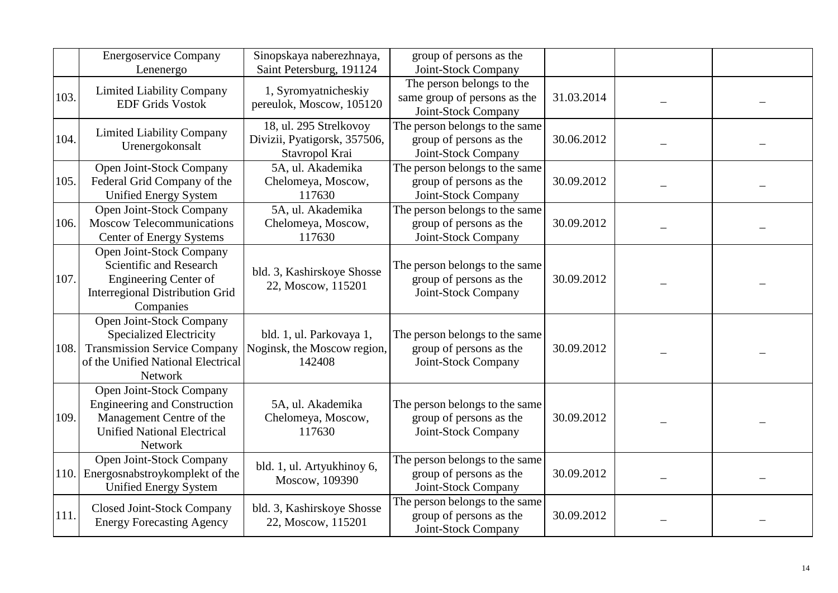|      | <b>Energoservice Company</b><br>Lenenergo                                                                                                          | Sinopskaya naberezhnaya,<br>Saint Petersburg, 191124                     | group of persons as the<br>Joint-Stock Company                                          |            |  |
|------|----------------------------------------------------------------------------------------------------------------------------------------------------|--------------------------------------------------------------------------|-----------------------------------------------------------------------------------------|------------|--|
| 103. | <b>Limited Liability Company</b><br><b>EDF Grids Vostok</b>                                                                                        | 1, Syromyatnicheskiy<br>pereulok, Moscow, 105120                         | The person belongs to the<br>same group of persons as the<br>Joint-Stock Company        | 31.03.2014 |  |
| 104. | <b>Limited Liability Company</b><br>Urenergokonsalt                                                                                                | 18, ul. 295 Strelkovoy<br>Divizii, Pyatigorsk, 357506,<br>Stavropol Krai | The person belongs to the same<br>group of persons as the<br>Joint-Stock Company        | 30.06.2012 |  |
| 105. | Open Joint-Stock Company<br>Federal Grid Company of the<br><b>Unified Energy System</b>                                                            | 5A, ul. Akademika<br>Chelomeya, Moscow,<br>117630                        | The person belongs to the same<br>group of persons as the<br>Joint-Stock Company        | 30.09.2012 |  |
| 106. | Open Joint-Stock Company<br><b>Moscow Telecommunications</b><br><b>Center of Energy Systems</b>                                                    | 5A, ul. Akademika<br>Chelomeya, Moscow,<br>117630                        | The person belongs to the same<br>group of persons as the<br>Joint-Stock Company        | 30.09.2012 |  |
| 107. | Open Joint-Stock Company<br>Scientific and Research<br><b>Engineering Center of</b><br><b>Interregional Distribution Grid</b><br>Companies         | bld. 3, Kashirskoye Shosse<br>22, Moscow, 115201                         | The person belongs to the same<br>group of persons as the<br>Joint-Stock Company        | 30.09.2012 |  |
| 108. | Open Joint-Stock Company<br><b>Specialized Electricity</b><br><b>Transmission Service Company</b><br>of the Unified National Electrical<br>Network | bld. 1, ul. Parkovaya 1,<br>Noginsk, the Moscow region,<br>142408        | The person belongs to the same<br>group of persons as the<br>Joint-Stock Company        | 30.09.2012 |  |
| 109. | Open Joint-Stock Company<br><b>Engineering and Construction</b><br>Management Centre of the<br><b>Unified National Electrical</b><br>Network       | 5A, ul. Akademika<br>Chelomeya, Moscow,<br>117630                        | The person belongs to the same<br>group of persons as the<br>Joint-Stock Company        | 30.09.2012 |  |
| 110. | Open Joint-Stock Company<br>Energosnabstroykomplekt of the<br><b>Unified Energy System</b>                                                         | bld. 1, ul. Artyukhinoy 6,<br>Moscow, 109390                             | The person belongs to the same<br>group of persons as the<br>Joint-Stock Company        | 30.09.2012 |  |
| 111. | <b>Closed Joint-Stock Company</b><br><b>Energy Forecasting Agency</b>                                                                              | bld. 3, Kashirskoye Shosse<br>22, Moscow, 115201                         | The person belongs to the same<br>group of persons as the<br><b>Joint-Stock Company</b> | 30.09.2012 |  |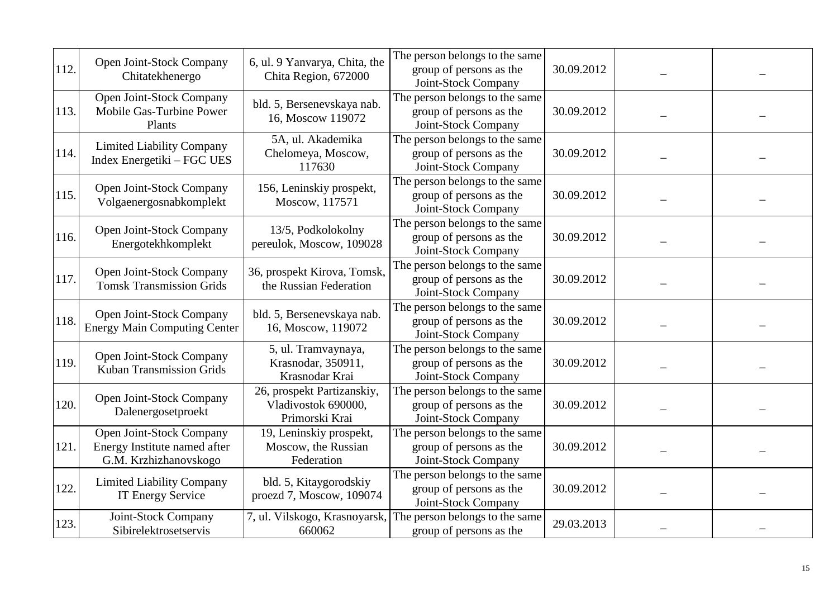|      |                                                                                   |                                                                     | The person belongs to the same                                                   |            |  |
|------|-----------------------------------------------------------------------------------|---------------------------------------------------------------------|----------------------------------------------------------------------------------|------------|--|
| 112. | Open Joint-Stock Company<br>Chitatekhenergo                                       | 6, ul. 9 Yanvarya, Chita, the<br>Chita Region, 672000               | group of persons as the<br>Joint-Stock Company                                   | 30.09.2012 |  |
| 113. | Open Joint-Stock Company<br>Mobile Gas-Turbine Power<br>Plants                    | bld. 5, Bersenevskaya nab.<br>16, Moscow 119072                     | The person belongs to the same<br>group of persons as the<br>Joint-Stock Company | 30.09.2012 |  |
| 114. | <b>Limited Liability Company</b><br>Index Energetiki – FGC UES                    | 5A, ul. Akademika<br>Chelomeya, Moscow,<br>117630                   | The person belongs to the same<br>group of persons as the<br>Joint-Stock Company | 30.09.2012 |  |
| 115. | Open Joint-Stock Company<br>Volgaenergosnabkomplekt                               | 156, Leninskiy prospekt,<br>Moscow, 117571                          | The person belongs to the same<br>group of persons as the<br>Joint-Stock Company | 30.09.2012 |  |
| 116. | Open Joint-Stock Company<br>Energotekhkomplekt                                    | 13/5, Podkolokolny<br>pereulok, Moscow, 109028                      | The person belongs to the same<br>group of persons as the<br>Joint-Stock Company | 30.09.2012 |  |
| 117. | Open Joint-Stock Company<br><b>Tomsk Transmission Grids</b>                       | 36, prospekt Kirova, Tomsk,<br>the Russian Federation               | The person belongs to the same<br>group of persons as the<br>Joint-Stock Company | 30.09.2012 |  |
| 118. | Open Joint-Stock Company<br><b>Energy Main Computing Center</b>                   | bld. 5, Bersenevskaya nab.<br>16, Moscow, 119072                    | The person belongs to the same<br>group of persons as the<br>Joint-Stock Company | 30.09.2012 |  |
| 119. | Open Joint-Stock Company<br><b>Kuban Transmission Grids</b>                       | 5, ul. Tramvaynaya,<br>Krasnodar, 350911,<br>Krasnodar Krai         | The person belongs to the same<br>group of persons as the<br>Joint-Stock Company | 30.09.2012 |  |
| 120. | Open Joint-Stock Company<br>Dalenergosetproekt                                    | 26, prospekt Partizanskiy,<br>Vladivostok 690000,<br>Primorski Krai | The person belongs to the same<br>group of persons as the<br>Joint-Stock Company | 30.09.2012 |  |
| 121  | Open Joint-Stock Company<br>Energy Institute named after<br>G.M. Krzhizhanovskogo | 19, Leninskiy prospekt,<br>Moscow, the Russian<br>Federation        | The person belongs to the same<br>group of persons as the<br>Joint-Stock Company | 30.09.2012 |  |
| 122  | <b>Limited Liability Company</b><br><b>IT Energy Service</b>                      | bld. 5, Kitaygorodskiy<br>proezd 7, Moscow, 109074                  | The person belongs to the same<br>group of persons as the<br>Joint-Stock Company | 30.09.2012 |  |
| 123. | Joint-Stock Company<br>Sibirelektrosetservis                                      | 7, ul. Vilskogo, Krasnoyarsk,<br>660062                             | The person belongs to the same<br>group of persons as the                        | 29.03.2013 |  |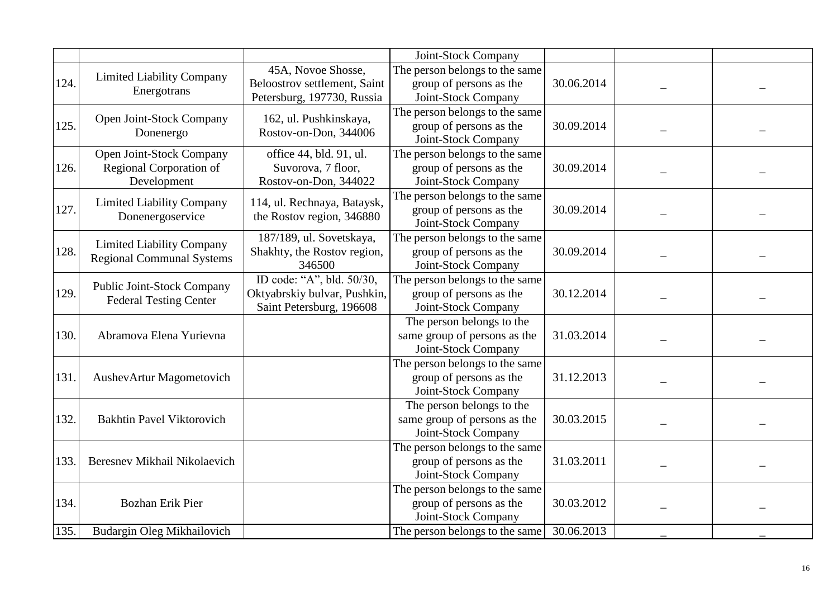|      |                                   |                              | Joint-Stock Company                                       |            |  |
|------|-----------------------------------|------------------------------|-----------------------------------------------------------|------------|--|
|      |                                   | 45A, Novoe Shosse,           | The person belongs to the same                            |            |  |
| 124. | <b>Limited Liability Company</b>  | Beloostrov settlement, Saint | group of persons as the                                   | 30.06.2014 |  |
|      | Energotrans                       | Petersburg, 197730, Russia   | Joint-Stock Company                                       |            |  |
|      | Open Joint-Stock Company          | 162, ul. Pushkinskaya,       | The person belongs to the same                            |            |  |
| 125. | Donenergo                         | Rostov-on-Don, 344006        | group of persons as the                                   | 30.09.2014 |  |
|      |                                   |                              | Joint-Stock Company                                       |            |  |
|      | Open Joint-Stock Company          | office 44, bld. 91, ul.      | The person belongs to the same                            |            |  |
| 126. | Regional Corporation of           | Suvorova, 7 floor,           | group of persons as the                                   | 30.09.2014 |  |
|      | Development                       | Rostov-on-Don, 344022        | Joint-Stock Company                                       |            |  |
|      | <b>Limited Liability Company</b>  | 114, ul. Rechnaya, Bataysk,  | The person belongs to the same                            |            |  |
| 127. | Donenergoservice                  | the Rostov region, 346880    | group of persons as the                                   | 30.09.2014 |  |
|      |                                   |                              | Joint-Stock Company                                       |            |  |
|      | <b>Limited Liability Company</b>  | 187/189, ul. Sovetskaya,     | The person belongs to the same                            |            |  |
| 128. | <b>Regional Communal Systems</b>  | Shakhty, the Rostov region,  | group of persons as the                                   | 30.09.2014 |  |
|      |                                   | 346500                       | Joint-Stock Company                                       |            |  |
|      | <b>Public Joint-Stock Company</b> | ID code: "A", bld. 50/30,    | The person belongs to the same                            |            |  |
| 129. | <b>Federal Testing Center</b>     | Oktyabrskiy bulvar, Pushkin, | group of persons as the                                   | 30.12.2014 |  |
|      |                                   | Saint Petersburg, 196608     | Joint-Stock Company                                       |            |  |
|      |                                   |                              | The person belongs to the                                 |            |  |
| 130. | Abramova Elena Yurievna           |                              | same group of persons as the                              | 31.03.2014 |  |
|      |                                   |                              | Joint-Stock Company                                       |            |  |
|      |                                   |                              | The person belongs to the same                            |            |  |
| 131  | AushevArtur Magometovich          |                              | group of persons as the                                   | 31.12.2013 |  |
|      |                                   |                              | Joint-Stock Company                                       |            |  |
|      |                                   |                              | The person belongs to the                                 |            |  |
| 132  | <b>Bakhtin Pavel Viktorovich</b>  |                              | same group of persons as the<br>Joint-Stock Company       | 30.03.2015 |  |
|      |                                   |                              |                                                           |            |  |
| 133  | Beresnev Mikhail Nikolaevich      |                              | The person belongs to the same                            | 31.03.2011 |  |
|      |                                   |                              | group of persons as the<br>Joint-Stock Company            |            |  |
|      |                                   |                              |                                                           |            |  |
| 134. |                                   |                              | The person belongs to the same<br>group of persons as the | 30.03.2012 |  |
|      | <b>Bozhan Erik Pier</b>           |                              | Joint-Stock Company                                       |            |  |
| 135. | Budargin Oleg Mikhailovich        |                              | The person belongs to the same                            | 30.06.2013 |  |
|      |                                   |                              |                                                           |            |  |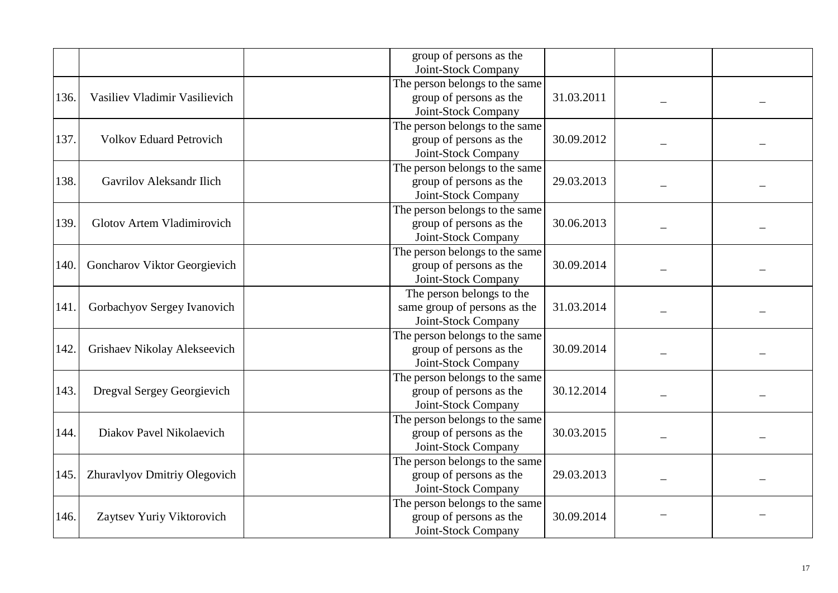|      |                                 | group of persons as the<br>Joint-Stock Company            |            |  |
|------|---------------------------------|-----------------------------------------------------------|------------|--|
|      |                                 | The person belongs to the same                            |            |  |
| 136. | Vasiliev Vladimir Vasilievich   | group of persons as the                                   | 31.03.2011 |  |
|      |                                 | Joint-Stock Company                                       |            |  |
|      |                                 | The person belongs to the same                            |            |  |
| 137. | <b>Volkov Eduard Petrovich</b>  | group of persons as the                                   | 30.09.2012 |  |
|      |                                 | Joint-Stock Company                                       |            |  |
|      |                                 | The person belongs to the same                            |            |  |
| 138. | <b>Gavrilov Aleksandr Ilich</b> | group of persons as the                                   | 29.03.2013 |  |
|      |                                 | Joint-Stock Company                                       |            |  |
|      |                                 | The person belongs to the same                            |            |  |
| 139. | Glotov Artem Vladimirovich      | group of persons as the                                   | 30.06.2013 |  |
|      |                                 | Joint-Stock Company                                       |            |  |
|      |                                 | The person belongs to the same                            |            |  |
| 140  | Goncharov Viktor Georgievich    | group of persons as the                                   | 30.09.2014 |  |
|      |                                 | Joint-Stock Company                                       |            |  |
|      |                                 | The person belongs to the                                 |            |  |
| 141. | Gorbachyov Sergey Ivanovich     | same group of persons as the                              | 31.03.2014 |  |
|      |                                 | Joint-Stock Company                                       |            |  |
|      |                                 | The person belongs to the same                            |            |  |
| 142. | Grishaev Nikolay Alekseevich    | group of persons as the                                   | 30.09.2014 |  |
|      |                                 | Joint-Stock Company                                       |            |  |
| 143. | Dregval Sergey Georgievich      | The person belongs to the same<br>group of persons as the | 30.12.2014 |  |
|      |                                 | Joint-Stock Company                                       |            |  |
|      |                                 | The person belongs to the same                            |            |  |
| 144. | Diakov Pavel Nikolaevich        | group of persons as the                                   | 30.03.2015 |  |
|      |                                 | Joint-Stock Company                                       |            |  |
|      |                                 | The person belongs to the same                            |            |  |
| 145. | Zhuravlyov Dmitriy Olegovich    | group of persons as the                                   | 29.03.2013 |  |
|      |                                 | Joint-Stock Company                                       |            |  |
|      |                                 | The person belongs to the same                            |            |  |
| 146. | Zaytsev Yuriy Viktorovich       | group of persons as the                                   | 30.09.2014 |  |
|      |                                 | Joint-Stock Company                                       |            |  |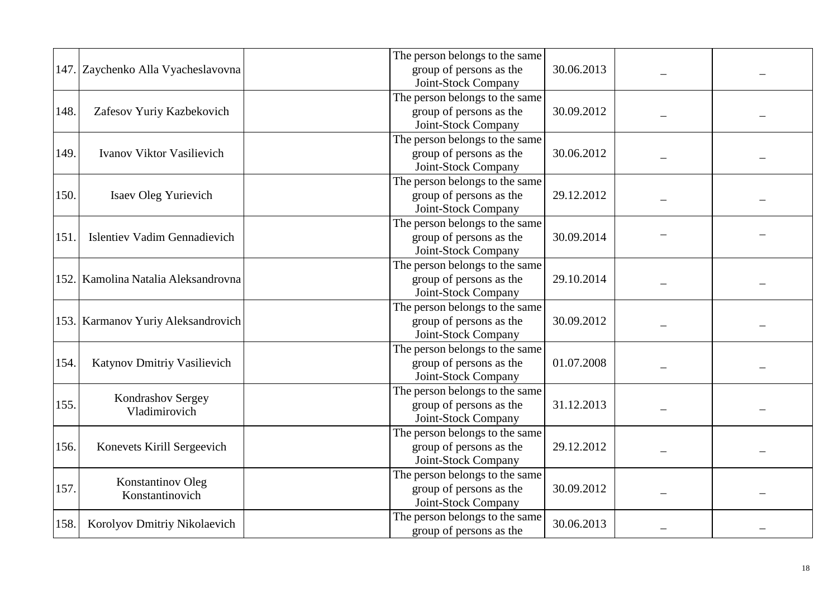|      |                                     | The person belongs to the same |            |  |  |
|------|-------------------------------------|--------------------------------|------------|--|--|
|      | 147. Zaychenko Alla Vyacheslavovna  | group of persons as the        | 30.06.2013 |  |  |
|      |                                     | Joint-Stock Company            |            |  |  |
|      |                                     | The person belongs to the same |            |  |  |
| 148. | Zafesov Yuriy Kazbekovich           | group of persons as the        | 30.09.2012 |  |  |
|      |                                     | Joint-Stock Company            |            |  |  |
|      |                                     |                                |            |  |  |
|      |                                     | The person belongs to the same |            |  |  |
| 149. | Ivanov Viktor Vasilievich           | group of persons as the        | 30.06.2012 |  |  |
|      |                                     | Joint-Stock Company            |            |  |  |
|      |                                     | The person belongs to the same |            |  |  |
| 150. | Isaev Oleg Yurievich                | group of persons as the        | 29.12.2012 |  |  |
|      |                                     | Joint-Stock Company            |            |  |  |
|      |                                     | The person belongs to the same |            |  |  |
| 151  | <b>Islentiev Vadim Gennadievich</b> | group of persons as the        | 30.09.2014 |  |  |
|      |                                     | Joint-Stock Company            |            |  |  |
|      |                                     | The person belongs to the same |            |  |  |
|      | 152. Kamolina Natalia Aleksandrovna | group of persons as the        | 29.10.2014 |  |  |
|      |                                     | Joint-Stock Company            |            |  |  |
|      |                                     | The person belongs to the same |            |  |  |
|      | 153. Karmanov Yuriy Aleksandrovich  | group of persons as the        | 30.09.2012 |  |  |
|      |                                     | Joint-Stock Company            |            |  |  |
|      |                                     | The person belongs to the same |            |  |  |
| 154. | Katynov Dmitriy Vasilievich         | group of persons as the        | 01.07.2008 |  |  |
|      |                                     | Joint-Stock Company            |            |  |  |
|      |                                     | The person belongs to the same |            |  |  |
| 155. | Kondrashov Sergey                   | group of persons as the        | 31.12.2013 |  |  |
|      | Vladimirovich                       | Joint-Stock Company            |            |  |  |
|      |                                     | The person belongs to the same |            |  |  |
| 156. |                                     |                                | 29.12.2012 |  |  |
|      | Konevets Kirill Sergeevich          | group of persons as the        |            |  |  |
|      |                                     | Joint-Stock Company            |            |  |  |
|      | <b>Konstantinov Oleg</b>            | The person belongs to the same |            |  |  |
| 157. | Konstantinovich                     | group of persons as the        | 30.09.2012 |  |  |
|      |                                     | Joint-Stock Company            |            |  |  |
| 158. | Korolyov Dmitriy Nikolaevich        | The person belongs to the same | 30.06.2013 |  |  |
|      |                                     | group of persons as the        |            |  |  |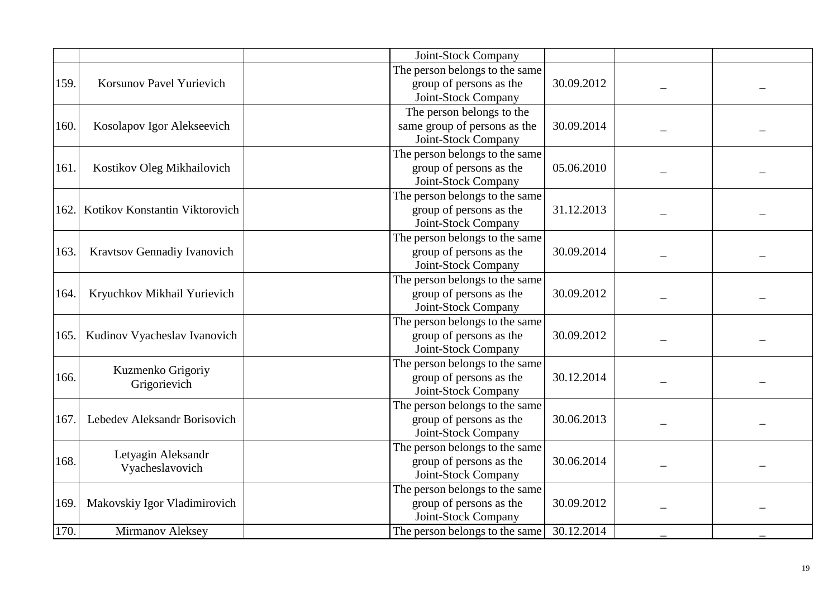|      |                                | Joint-Stock Company            |            |  |
|------|--------------------------------|--------------------------------|------------|--|
|      |                                | The person belongs to the same |            |  |
| 159. | Korsunov Pavel Yurievich       | group of persons as the        | 30.09.2012 |  |
|      |                                | Joint-Stock Company            |            |  |
|      |                                | The person belongs to the      |            |  |
| 160. | Kosolapov Igor Alekseevich     | same group of persons as the   | 30.09.2014 |  |
|      |                                | Joint-Stock Company            |            |  |
|      |                                | The person belongs to the same |            |  |
| 161. | Kostikov Oleg Mikhailovich     | group of persons as the        | 05.06.2010 |  |
|      |                                | Joint-Stock Company            |            |  |
|      |                                | The person belongs to the same |            |  |
| 162. | Kotikov Konstantin Viktorovich | group of persons as the        | 31.12.2013 |  |
|      |                                | Joint-Stock Company            |            |  |
|      |                                | The person belongs to the same |            |  |
| 163. | Kravtsov Gennadiy Ivanovich    | group of persons as the        | 30.09.2014 |  |
|      |                                | Joint-Stock Company            |            |  |
|      |                                | The person belongs to the same |            |  |
| 164. | Kryuchkov Mikhail Yurievich    | group of persons as the        | 30.09.2012 |  |
|      |                                | Joint-Stock Company            |            |  |
|      |                                | The person belongs to the same |            |  |
| 165. | Kudinov Vyacheslav Ivanovich   | group of persons as the        | 30.09.2012 |  |
|      |                                | Joint-Stock Company            |            |  |
|      | Kuzmenko Grigoriy              | The person belongs to the same |            |  |
| 166. | Grigorievich                   | group of persons as the        | 30.12.2014 |  |
|      |                                | Joint-Stock Company            |            |  |
|      |                                | The person belongs to the same |            |  |
| 167  | Lebedev Aleksandr Borisovich   | group of persons as the        | 30.06.2013 |  |
|      |                                | Joint-Stock Company            |            |  |
|      | Letyagin Aleksandr             | The person belongs to the same |            |  |
| 168. | Vyacheslavovich                | group of persons as the        | 30.06.2014 |  |
|      |                                | Joint-Stock Company            |            |  |
|      |                                | The person belongs to the same |            |  |
| 169  | Makovskiy Igor Vladimirovich   | group of persons as the        | 30.09.2012 |  |
|      |                                | Joint-Stock Company            |            |  |
| 170. | <b>Mirmanov Aleksey</b>        | The person belongs to the same | 30.12.2014 |  |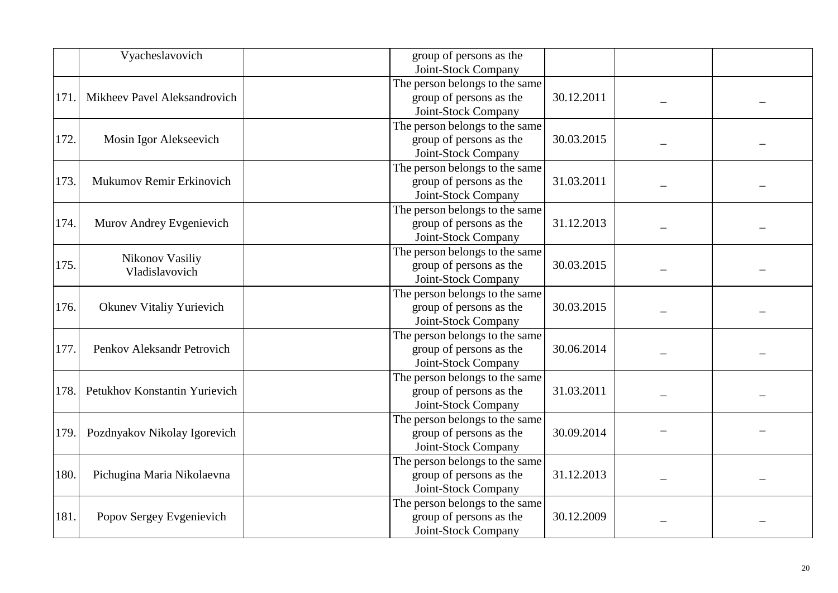|      | Vyacheslavovich               | group of persons as the        |            |  |
|------|-------------------------------|--------------------------------|------------|--|
|      |                               | Joint-Stock Company            |            |  |
|      |                               | The person belongs to the same |            |  |
| 171  | Mikheev Pavel Aleksandrovich  | group of persons as the        | 30.12.2011 |  |
|      |                               | Joint-Stock Company            |            |  |
|      |                               | The person belongs to the same |            |  |
| 172. | Mosin Igor Alekseevich        | group of persons as the        | 30.03.2015 |  |
|      |                               | Joint-Stock Company            |            |  |
|      |                               | The person belongs to the same |            |  |
| 173. | Mukumov Remir Erkinovich      | group of persons as the        | 31.03.2011 |  |
|      |                               | Joint-Stock Company            |            |  |
|      |                               | The person belongs to the same |            |  |
| 174. | Murov Andrey Evgenievich      | group of persons as the        | 31.12.2013 |  |
|      |                               | Joint-Stock Company            |            |  |
|      | Nikonov Vasiliy               | The person belongs to the same |            |  |
| 175. | Vladislavovich                | group of persons as the        | 30.03.2015 |  |
|      |                               | Joint-Stock Company            |            |  |
|      |                               | The person belongs to the same |            |  |
| 176. | Okunev Vitaliy Yurievich      | group of persons as the        | 30.03.2015 |  |
|      |                               | Joint-Stock Company            |            |  |
|      |                               | The person belongs to the same |            |  |
| 177. | Penkov Aleksandr Petrovich    | group of persons as the        | 30.06.2014 |  |
|      |                               | Joint-Stock Company            |            |  |
|      |                               | The person belongs to the same |            |  |
| 178. | Petukhov Konstantin Yurievich | group of persons as the        | 31.03.2011 |  |
|      |                               | Joint-Stock Company            |            |  |
|      |                               | The person belongs to the same |            |  |
| 179. | Pozdnyakov Nikolay Igorevich  | group of persons as the        | 30.09.2014 |  |
|      |                               | Joint-Stock Company            |            |  |
|      |                               | The person belongs to the same |            |  |
| 180. | Pichugina Maria Nikolaevna    | group of persons as the        | 31.12.2013 |  |
|      |                               | Joint-Stock Company            |            |  |
|      |                               | The person belongs to the same |            |  |
| 181. | Popov Sergey Evgenievich      | group of persons as the        | 30.12.2009 |  |
|      |                               | Joint-Stock Company            |            |  |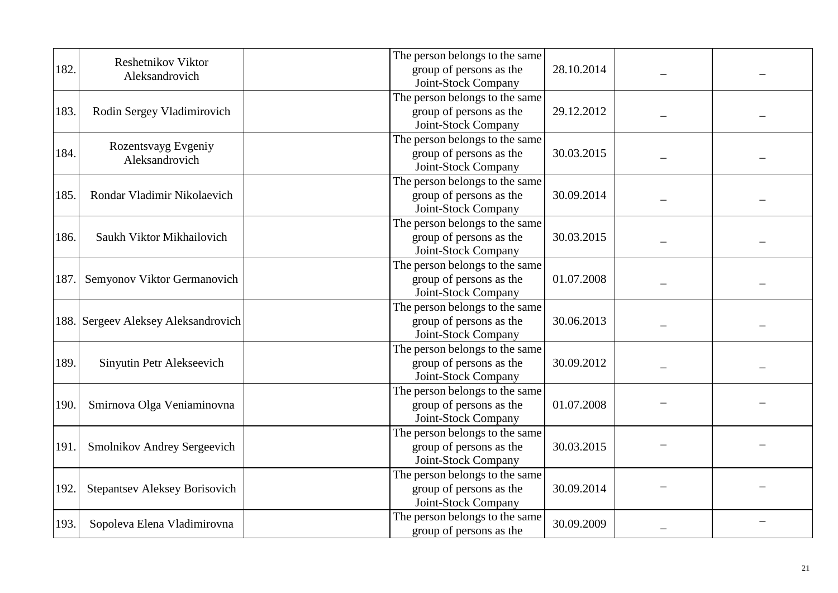|      |                                       | The person belongs to the same |            |  |
|------|---------------------------------------|--------------------------------|------------|--|
| 182. | Reshetnikov Viktor                    | group of persons as the        | 28.10.2014 |  |
|      | Aleksandrovich                        | Joint-Stock Company            |            |  |
|      |                                       | The person belongs to the same |            |  |
| 183. | Rodin Sergey Vladimirovich            | group of persons as the        | 29.12.2012 |  |
|      |                                       | Joint-Stock Company            |            |  |
|      |                                       | The person belongs to the same |            |  |
| 184. | Rozentsvayg Evgeniy<br>Aleksandrovich | group of persons as the        | 30.03.2015 |  |
|      |                                       | Joint-Stock Company            |            |  |
|      |                                       | The person belongs to the same |            |  |
| 185. | Rondar Vladimir Nikolaevich           | group of persons as the        | 30.09.2014 |  |
|      |                                       | Joint-Stock Company            |            |  |
|      |                                       | The person belongs to the same |            |  |
| 186. | Saukh Viktor Mikhailovich             | group of persons as the        | 30.03.2015 |  |
|      |                                       | Joint-Stock Company            |            |  |
|      |                                       | The person belongs to the same |            |  |
| 187. | Semyonov Viktor Germanovich           | group of persons as the        | 01.07.2008 |  |
|      |                                       | Joint-Stock Company            |            |  |
|      |                                       | The person belongs to the same |            |  |
|      | 188. Sergeev Aleksey Aleksandrovich   | group of persons as the        | 30.06.2013 |  |
|      |                                       | Joint-Stock Company            |            |  |
|      |                                       | The person belongs to the same |            |  |
| 189. | Sinyutin Petr Alekseevich             | group of persons as the        | 30.09.2012 |  |
|      |                                       | Joint-Stock Company            |            |  |
|      |                                       | The person belongs to the same |            |  |
| 190. | Smirnova Olga Veniaminovna            | group of persons as the        | 01.07.2008 |  |
|      |                                       | Joint-Stock Company            |            |  |
|      |                                       | The person belongs to the same |            |  |
| 191  | Smolnikov Andrey Sergeevich           | group of persons as the        | 30.03.2015 |  |
|      |                                       | Joint-Stock Company            |            |  |
|      |                                       | The person belongs to the same |            |  |
| 192. | <b>Stepantsev Aleksey Borisovich</b>  | group of persons as the        | 30.09.2014 |  |
|      |                                       | Joint-Stock Company            |            |  |
| 193. | Sopoleva Elena Vladimirovna           | The person belongs to the same | 30.09.2009 |  |
|      |                                       | group of persons as the        |            |  |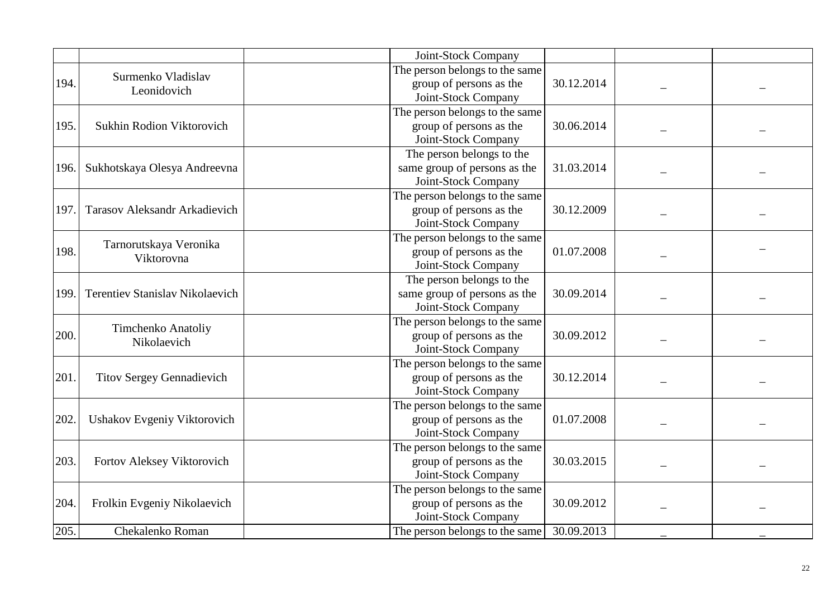|      |                                        | Joint-Stock Company            |            |  |
|------|----------------------------------------|--------------------------------|------------|--|
|      | Surmenko Vladislav                     | The person belongs to the same |            |  |
| 194. | Leonidovich                            | group of persons as the        | 30.12.2014 |  |
|      |                                        | Joint-Stock Company            |            |  |
|      |                                        | The person belongs to the same |            |  |
| 195. | Sukhin Rodion Viktorovich              | group of persons as the        | 30.06.2014 |  |
|      |                                        | Joint-Stock Company            |            |  |
|      |                                        | The person belongs to the      |            |  |
| 196. | Sukhotskaya Olesya Andreevna           | same group of persons as the   | 31.03.2014 |  |
|      |                                        | Joint-Stock Company            |            |  |
|      |                                        | The person belongs to the same |            |  |
| 197  | <b>Tarasov Aleksandr Arkadievich</b>   | group of persons as the        | 30.12.2009 |  |
|      |                                        | Joint-Stock Company            |            |  |
|      | Tarnorutskaya Veronika                 | The person belongs to the same |            |  |
| 198. | Viktorovna                             | group of persons as the        | 01.07.2008 |  |
|      |                                        | Joint-Stock Company            |            |  |
|      |                                        | The person belongs to the      |            |  |
| 199  | <b>Terentiev Stanislav Nikolaevich</b> | same group of persons as the   | 30.09.2014 |  |
|      |                                        | Joint-Stock Company            |            |  |
|      | Timchenko Anatoliy                     | The person belongs to the same |            |  |
| 200. | Nikolaevich                            | group of persons as the        | 30.09.2012 |  |
|      |                                        | Joint-Stock Company            |            |  |
|      |                                        | The person belongs to the same |            |  |
| 201. | <b>Titov Sergey Gennadievich</b>       | group of persons as the        | 30.12.2014 |  |
|      |                                        | Joint-Stock Company            |            |  |
|      |                                        | The person belongs to the same |            |  |
| 202. | Ushakov Evgeniy Viktorovich            | group of persons as the        | 01.07.2008 |  |
|      |                                        | Joint-Stock Company            |            |  |
|      |                                        | The person belongs to the same |            |  |
| 203. | Fortov Aleksey Viktorovich             | group of persons as the        | 30.03.2015 |  |
|      |                                        | Joint-Stock Company            |            |  |
|      |                                        | The person belongs to the same |            |  |
| 204. | Frolkin Evgeniy Nikolaevich            | group of persons as the        | 30.09.2012 |  |
|      |                                        | Joint-Stock Company            |            |  |
| 205. | Chekalenko Roman                       | The person belongs to the same | 30.09.2013 |  |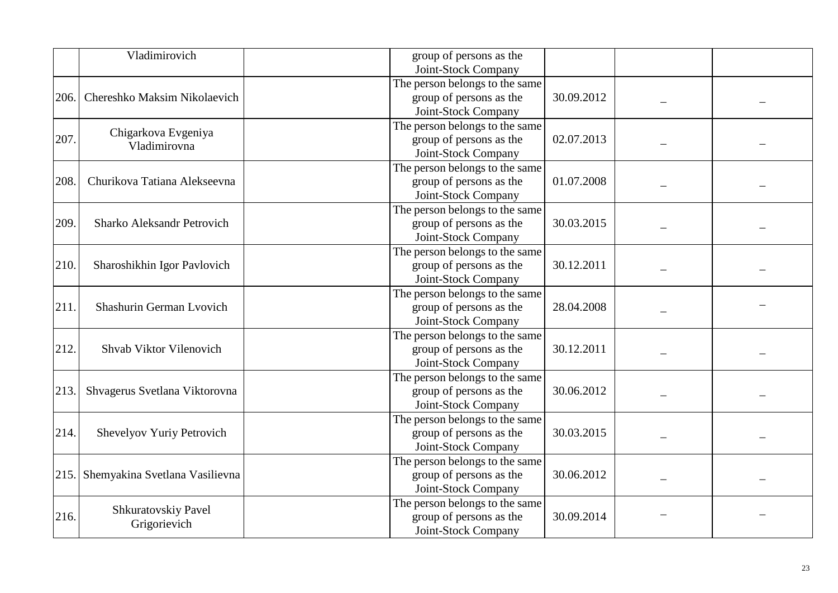|      | Vladimirovich                  | group of persons as the        |            |  |
|------|--------------------------------|--------------------------------|------------|--|
|      |                                | Joint-Stock Company            |            |  |
|      |                                | The person belongs to the same |            |  |
| 206. | Chereshko Maksim Nikolaevich   | group of persons as the        | 30.09.2012 |  |
|      |                                | Joint-Stock Company            |            |  |
|      | Chigarkova Evgeniya            | The person belongs to the same |            |  |
| 207. | Vladimirovna                   | group of persons as the        | 02.07.2013 |  |
|      |                                | Joint-Stock Company            |            |  |
|      |                                | The person belongs to the same |            |  |
| 208. | Churikova Tatiana Alekseevna   | group of persons as the        | 01.07.2008 |  |
|      |                                | Joint-Stock Company            |            |  |
|      |                                | The person belongs to the same |            |  |
| 209. | Sharko Aleksandr Petrovich     | group of persons as the        | 30.03.2015 |  |
|      |                                | Joint-Stock Company            |            |  |
|      |                                | The person belongs to the same |            |  |
| 210. | Sharoshikhin Igor Pavlovich    | group of persons as the        | 30.12.2011 |  |
|      |                                | Joint-Stock Company            |            |  |
|      |                                | The person belongs to the same |            |  |
| 211. | Shashurin German Lvovich       | group of persons as the        | 28.04.2008 |  |
|      |                                | Joint-Stock Company            |            |  |
|      |                                | The person belongs to the same |            |  |
| 212. | Shvab Viktor Vilenovich        | group of persons as the        | 30.12.2011 |  |
|      |                                | Joint-Stock Company            |            |  |
|      |                                | The person belongs to the same |            |  |
| 213. | Shvagerus Svetlana Viktorovna  | group of persons as the        | 30.06.2012 |  |
|      |                                | Joint-Stock Company            |            |  |
|      |                                | The person belongs to the same |            |  |
| 214. | Shevelyov Yuriy Petrovich      | group of persons as the        | 30.03.2015 |  |
|      |                                | Joint-Stock Company            |            |  |
|      |                                | The person belongs to the same |            |  |
| 215. | Shemyakina Svetlana Vasilievna | group of persons as the        | 30.06.2012 |  |
|      |                                | Joint-Stock Company            |            |  |
|      |                                | The person belongs to the same |            |  |
| 216. | Shkuratovskiy Pavel            | group of persons as the        | 30.09.2014 |  |
|      | Grigorievich                   | Joint-Stock Company            |            |  |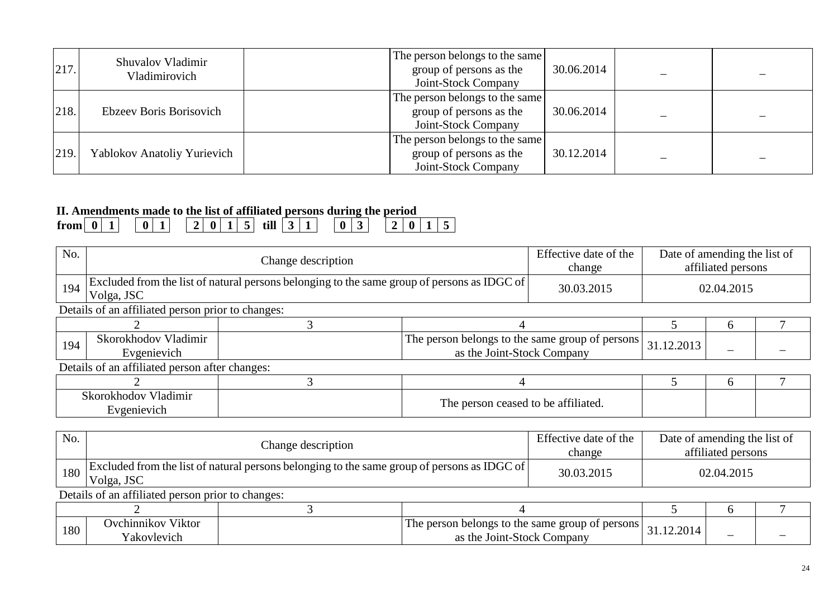| 217. | Shuvalov Vladimir<br>Vladimirovich | The person belongs to the same<br>group of persons as the<br>Joint-Stock Company | 30.06.2014 |  |
|------|------------------------------------|----------------------------------------------------------------------------------|------------|--|
| 218. | Ebzeev Boris Borisovich            | The person belongs to the same<br>group of persons as the<br>Joint-Stock Company | 30.06.2014 |  |
| 219. | Yablokov Anatoliy Yurievich        | The person belongs to the same<br>group of persons as the<br>Joint-Stock Company | 30.12.2014 |  |

## **II. Amendments made to the list of affiliated persons during the period**

| trom | $\sim$ |  | - |  |  | till | - |  | ັ |  | $\mathbf{0}$ |  |  |
|------|--------|--|---|--|--|------|---|--|---|--|--------------|--|--|
|      |        |  |   |  |  |      |   |  |   |  |              |  |  |

| No. |                                                                                                           | Change description |                                                                               | Effective date of the<br>change     | Date of amending the list of | affiliated persons |  |
|-----|-----------------------------------------------------------------------------------------------------------|--------------------|-------------------------------------------------------------------------------|-------------------------------------|------------------------------|--------------------|--|
| 194 | Excluded from the list of natural persons belonging to the same group of persons as IDGC of<br>Volga, JSC |                    |                                                                               | 30.03.2015                          |                              | 02.04.2015         |  |
|     | Details of an affiliated person prior to changes:                                                         |                    |                                                                               |                                     |                              |                    |  |
|     |                                                                                                           |                    |                                                                               | $\mathfrak{b}$                      |                              |                    |  |
| 194 | Skorokhodov Vladimir<br>Evgenievich                                                                       |                    | The person belongs to the same group of persons<br>as the Joint-Stock Company |                                     | 31.12.2013                   |                    |  |
|     | Details of an affiliated person after changes:                                                            |                    |                                                                               |                                     |                              |                    |  |
|     |                                                                                                           |                    |                                                                               |                                     |                              | $\sigma$           |  |
|     | Skorokhodov Vladimir<br>Evgenievich                                                                       |                    |                                                                               | The person ceased to be affiliated. |                              |                    |  |

| No. |                                                                                                                           | Change description |                                                                                 | Effective date of the<br>change | Date of amending the list of | affiliated persons |  |
|-----|---------------------------------------------------------------------------------------------------------------------------|--------------------|---------------------------------------------------------------------------------|---------------------------------|------------------------------|--------------------|--|
|     | $\frac{1}{180}$ Excluded from the list of natural persons belonging to the same group of persons as IDGC of<br>Volga, JSC |                    |                                                                                 | 30.03.2015                      |                              | 02.04.2015         |  |
|     | Details of an affiliated person prior to changes:                                                                         |                    |                                                                                 |                                 |                              |                    |  |
|     |                                                                                                                           |                    |                                                                                 |                                 |                              |                    |  |
| 180 | Ovchinnikov Viktor<br>Yakovlevich                                                                                         |                    | The person belongs to the same group of persons  <br>as the Joint-Stock Company |                                 | 31.12.2014                   |                    |  |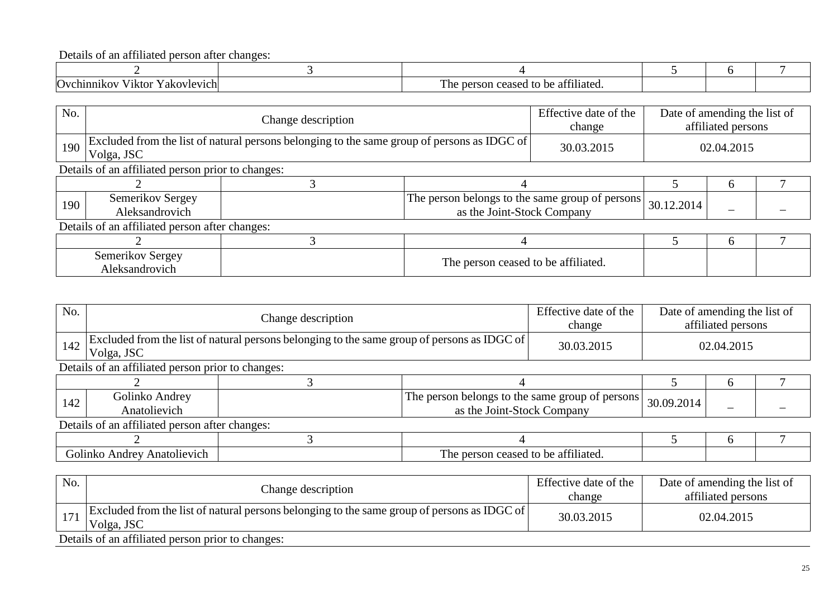Details of an affiliated person after changes:

| Ovchinni<br>akovlev<br>$\mathbf{u}$<br>′1Ktor<br>vich.<br>'IKG | $\sim$ $\sim$ $\sim$<br>--<br>ı ne<br>t∩ h≙<br>.<br>⊤iliateo.<br>$n \alpha r$<br>concor<br>son<br>ceaseu<br>11.1<br>$\cdots$<br>. . <i>.</i> . <i>.</i> |  |  |
|----------------------------------------------------------------|---------------------------------------------------------------------------------------------------------------------------------------------------------|--|--|

| No. |                                                                                                           | Change description |                                                                               | Effective date of the<br>change     | Date of amending the list of | affiliated persons |  |
|-----|-----------------------------------------------------------------------------------------------------------|--------------------|-------------------------------------------------------------------------------|-------------------------------------|------------------------------|--------------------|--|
| 190 | Excluded from the list of natural persons belonging to the same group of persons as IDGC of<br>Volga, JSC |                    |                                                                               | 30.03.2015                          |                              | 02.04.2015         |  |
|     | Details of an affiliated person prior to changes:                                                         |                    |                                                                               |                                     |                              |                    |  |
|     |                                                                                                           |                    |                                                                               |                                     |                              |                    |  |
| 190 | Semerikov Sergey<br>Aleksandrovich                                                                        |                    | The person belongs to the same group of persons<br>as the Joint-Stock Company |                                     | 30.12.2014                   |                    |  |
|     | Details of an affiliated person after changes:                                                            |                    |                                                                               |                                     |                              |                    |  |
|     |                                                                                                           |                    |                                                                               |                                     |                              |                    |  |
|     | Semerikov Sergey<br>Aleksandrovich                                                                        |                    |                                                                               | The person ceased to be affiliated. |                              |                    |  |

| No. |                                                | Change description                                                                          |                                                                               | Effective date of the<br>change | Date of amending the list of | affiliated persons |  |
|-----|------------------------------------------------|---------------------------------------------------------------------------------------------|-------------------------------------------------------------------------------|---------------------------------|------------------------------|--------------------|--|
| 142 | Volga, JSC                                     | Excluded from the list of natural persons belonging to the same group of persons as IDGC of |                                                                               | 30.03.2015                      |                              | 02.04.2015         |  |
|     |                                                | Details of an affiliated person prior to changes:                                           |                                                                               |                                 |                              |                    |  |
|     |                                                |                                                                                             |                                                                               |                                 |                              | h                  |  |
| 142 | Golinko Andrey<br>Anatolievich                 |                                                                                             | The person belongs to the same group of persons<br>as the Joint-Stock Company |                                 | 30.09.2014                   |                    |  |
|     | Details of an affiliated person after changes: |                                                                                             |                                                                               |                                 |                              |                    |  |
|     |                                                |                                                                                             |                                                                               |                                 |                              | h                  |  |
|     | Golinko Andrey Anatolievich                    |                                                                                             | The person ceased to be affiliated.                                           |                                 |                              |                    |  |

| No. | Change description                                                                                        | Effective date of the<br>change | Date of amending the list of<br>affiliated persons |
|-----|-----------------------------------------------------------------------------------------------------------|---------------------------------|----------------------------------------------------|
|     | Excluded from the list of natural persons belonging to the same group of persons as IDGC of<br>Volga, JSC | 30.03.2015                      | 02.04.2015                                         |
|     | Details of an affiliated person prior to changes:                                                         |                                 |                                                    |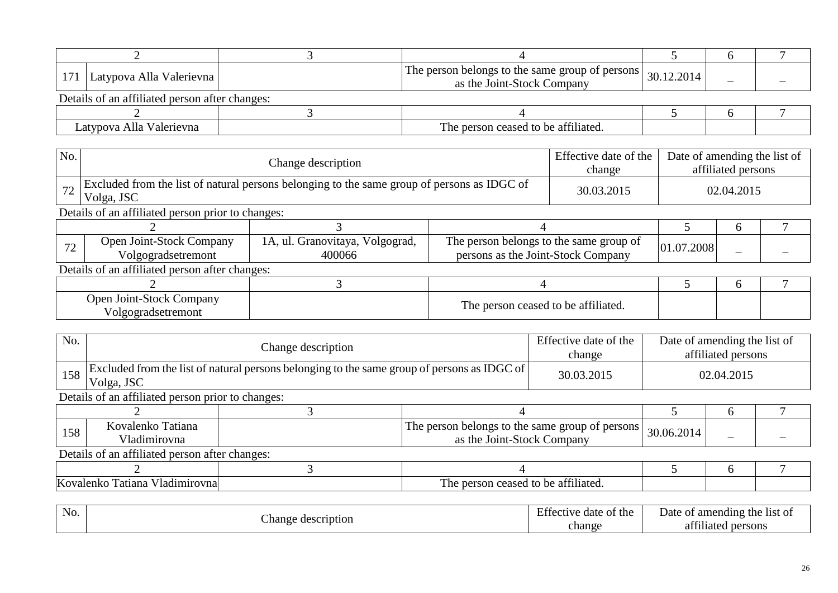| 171   Latypova Alla Valerievna                 | The person belongs to the same group of persons $\vert$ 30.12.2014<br>as the Joint-Stock Company |  |  |
|------------------------------------------------|--------------------------------------------------------------------------------------------------|--|--|
| Details of an affiliated person after changes: |                                                                                                  |  |  |
|                                                |                                                                                                  |  |  |
| Latypova Alla Valerievna                       | The person ceased to be affiliated.                                                              |  |  |

| No. |                                                   | Change description                                                                          |                                                                               | Effective date of the<br>change | Date of amending the list of | affiliated persons |  |
|-----|---------------------------------------------------|---------------------------------------------------------------------------------------------|-------------------------------------------------------------------------------|---------------------------------|------------------------------|--------------------|--|
| 72  | Volga, JSC                                        | Excluded from the list of natural persons belonging to the same group of persons as IDGC of |                                                                               | 30.03.2015                      |                              | 02.04.2015         |  |
|     | Details of an affiliated person prior to changes: |                                                                                             |                                                                               |                                 |                              |                    |  |
|     |                                                   |                                                                                             |                                                                               |                                 |                              | h                  |  |
| 72  | Open Joint-Stock Company<br>Volgogradsetremont    | 1A, ul. Granovitaya, Volgograd,<br>400066                                                   | The person belongs to the same group of<br>persons as the Joint-Stock Company |                                 | 01.07.2008                   | -                  |  |
|     | Details of an affiliated person after changes:    |                                                                                             |                                                                               |                                 |                              |                    |  |
|     |                                                   |                                                                                             |                                                                               |                                 |                              | h                  |  |
|     | Open Joint-Stock Company<br>Volgogradsetremont    | The person ceased to be affiliated.                                                         |                                                                               |                                 |                              |                    |  |

| No. |                                                   | Change description                                                                          |                                                                               | Effective date of the<br>change | Date of amending the list of | affiliated persons |  |  |
|-----|---------------------------------------------------|---------------------------------------------------------------------------------------------|-------------------------------------------------------------------------------|---------------------------------|------------------------------|--------------------|--|--|
| 158 | Volga, JSC                                        | Excluded from the list of natural persons belonging to the same group of persons as IDGC of |                                                                               | 30.03.2015                      | 02.04.2015                   |                    |  |  |
|     | Details of an affiliated person prior to changes: |                                                                                             |                                                                               |                                 |                              |                    |  |  |
|     |                                                   |                                                                                             |                                                                               |                                 |                              | h                  |  |  |
| 158 | Kovalenko Tatiana<br>Vladimirovna                 |                                                                                             | The person belongs to the same group of persons<br>as the Joint-Stock Company |                                 | 30.06.2014                   |                    |  |  |
|     | Details of an affiliated person after changes:    |                                                                                             |                                                                               |                                 |                              |                    |  |  |
|     |                                                   |                                                                                             |                                                                               |                                 |                              | <sub>0</sub>       |  |  |
|     | Kovalenko Tatiana Vladimirovna                    |                                                                                             |                                                                               |                                 |                              |                    |  |  |

| . .<br>NO. | $\sim$<br>ികാല    | $\sim$<br>the<br>date<br>$\cdot \Delta \cap$<br>οT | amending<br>∵the.<br>Date<br>l1St<br>-01<br>. <i>.</i> . |
|------------|-------------------|----------------------------------------------------|----------------------------------------------------------|
|            | . hange<br>uption | chang                                              | 0.011<br>sons<br>шак<br>$\mathbf{a}$                     |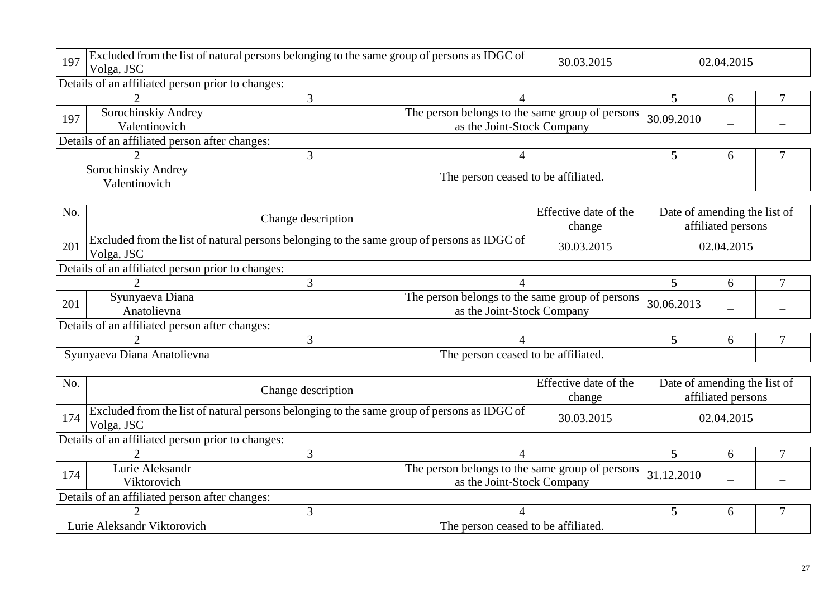| 197 | Volga, JSC                                        | Excluded from the list of natural persons belonging to the same group of persons as IDGC of |                                                                               |  |                                                    | 02.04.2015 |  |
|-----|---------------------------------------------------|---------------------------------------------------------------------------------------------|-------------------------------------------------------------------------------|--|----------------------------------------------------|------------|--|
|     | Details of an affiliated person prior to changes: |                                                                                             |                                                                               |  |                                                    |            |  |
|     |                                                   | ⌒                                                                                           |                                                                               |  |                                                    | 6          |  |
| 197 | Sorochinskiy Andrey<br>Valentinovich              |                                                                                             | The person belongs to the same group of persons<br>as the Joint-Stock Company |  | 30.09.2010                                         |            |  |
|     | Details of an affiliated person after changes:    |                                                                                             |                                                                               |  |                                                    |            |  |
|     | 3                                                 |                                                                                             |                                                                               |  | <sub>6</sub>                                       |            |  |
|     | Sorochinskiy Andrey<br>Valentinovich              |                                                                                             | The person ceased to be affiliated.                                           |  |                                                    |            |  |
|     |                                                   |                                                                                             |                                                                               |  |                                                    |            |  |
| No. |                                                   | Effective date of the<br>Change description                                                 |                                                                               |  | Date of amending the list of<br>affiliated persons |            |  |
| 201 | Volga, JSC                                        | Excluded from the list of natural persons belonging to the same group of persons as IDGC of |                                                                               |  |                                                    | 02.04.2015 |  |
|     | Details of an affiliated person prior to changes: |                                                                                             |                                                                               |  |                                                    |            |  |

| 201 | Syunyaeva Diana<br>Anatolievna                 | The person belongs to the same group of persons<br>30.06.2013<br>as the Joint-Stock Company |  |  |
|-----|------------------------------------------------|---------------------------------------------------------------------------------------------|--|--|
|     | Details of an affiliated person after changes: |                                                                                             |  |  |
|     |                                                |                                                                                             |  |  |
|     | Syunyaeva Diana Anatolievna                    | The person ceased to be affiliated.                                                         |  |  |

| No.                         |                                                   | Change description |                                                                                             |  | Date of amending the list of | affiliated persons |  |  |  |  |
|-----------------------------|---------------------------------------------------|--------------------|---------------------------------------------------------------------------------------------|--|------------------------------|--------------------|--|--|--|--|
| 174                         | Volga, JSC                                        |                    | Excluded from the list of natural persons belonging to the same group of persons as IDGC of |  |                              | 02.04.2015         |  |  |  |  |
|                             | Details of an affiliated person prior to changes: |                    |                                                                                             |  |                              |                    |  |  |  |  |
|                             |                                                   |                    |                                                                                             |  |                              | h                  |  |  |  |  |
| 174                         | Lurie Aleksandr<br>Viktorovich                    |                    | The person belongs to the same group of persons<br>as the Joint-Stock Company               |  | 31.12.2010                   |                    |  |  |  |  |
|                             | Details of an affiliated person after changes:    |                    |                                                                                             |  |                              |                    |  |  |  |  |
|                             |                                                   |                    |                                                                                             |  |                              |                    |  |  |  |  |
| Lurie Aleksandr Viktorovich |                                                   |                    | The person ceased to be affiliated.                                                         |  |                              |                    |  |  |  |  |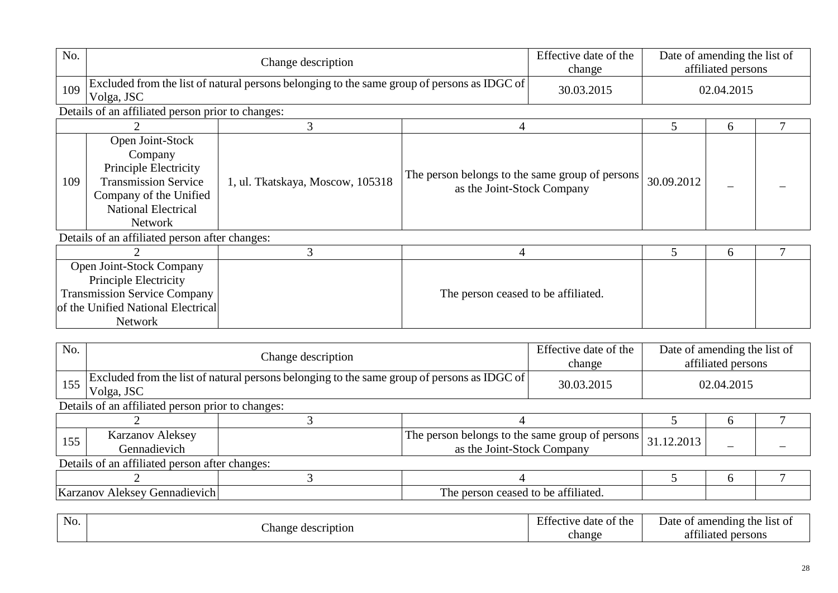|                                                                                                                                                                                                                                               | Change description                                                                                                      |                                                                                                          |                                                                                             | Date of amending the list of<br>affiliated persons                     |                                                      |  |
|-----------------------------------------------------------------------------------------------------------------------------------------------------------------------------------------------------------------------------------------------|-------------------------------------------------------------------------------------------------------------------------|----------------------------------------------------------------------------------------------------------|---------------------------------------------------------------------------------------------|------------------------------------------------------------------------|------------------------------------------------------|--|
| Volga, JSC                                                                                                                                                                                                                                    |                                                                                                                         |                                                                                                          | 30.03.2015                                                                                  | 02.04.2015                                                             |                                                      |  |
|                                                                                                                                                                                                                                               |                                                                                                                         |                                                                                                          |                                                                                             |                                                                        |                                                      |  |
|                                                                                                                                                                                                                                               | 3                                                                                                                       | 4                                                                                                        |                                                                                             | 5                                                                      | 6                                                    |  |
| Open Joint-Stock<br>Company<br><b>Principle Electricity</b><br><b>Transmission Service</b><br>109<br>1, ul. Tkatskaya, Moscow, 105318<br>as the Joint-Stock Company<br>Company of the Unified<br><b>National Electrical</b><br><b>Network</b> |                                                                                                                         | 30.09.2012                                                                                               |                                                                                             |                                                                        |                                                      |  |
|                                                                                                                                                                                                                                               |                                                                                                                         |                                                                                                          |                                                                                             |                                                                        |                                                      |  |
|                                                                                                                                                                                                                                               |                                                                                                                         | 4                                                                                                        |                                                                                             |                                                                        | 6                                                    |  |
| Principle Electricity                                                                                                                                                                                                                         |                                                                                                                         |                                                                                                          |                                                                                             |                                                                        |                                                      |  |
|                                                                                                                                                                                                                                               | Open Joint-Stock Company<br><b>Transmission Service Company</b><br>of the Unified National Electrical<br><b>Network</b> | Details of an affiliated person prior to changes:<br>Details of an affiliated person after changes:<br>3 | Excluded from the list of natural persons belonging to the same group of persons as IDGC of | Effective date of the<br>change<br>The person ceased to be affiliated. | The person belongs to the same group of persons<br>5 |  |

| No. |                                                   | Change description                                                                          |                                                                               |  |            | Date of amending the list of<br>affiliated persons |  |  |  |  |
|-----|---------------------------------------------------|---------------------------------------------------------------------------------------------|-------------------------------------------------------------------------------|--|------------|----------------------------------------------------|--|--|--|--|
| 155 | Volga, JSC                                        | Excluded from the list of natural persons belonging to the same group of persons as IDGC of |                                                                               |  |            | 02.04.2015                                         |  |  |  |  |
|     | Details of an affiliated person prior to changes: |                                                                                             |                                                                               |  |            |                                                    |  |  |  |  |
|     |                                                   |                                                                                             |                                                                               |  |            | b                                                  |  |  |  |  |
| 155 | <b>Karzanov Aleksey</b><br>Gennadievich           |                                                                                             | The person belongs to the same group of persons<br>as the Joint-Stock Company |  | 31.12.2013 |                                                    |  |  |  |  |
|     | Details of an affiliated person after changes:    |                                                                                             |                                                                               |  |            |                                                    |  |  |  |  |
|     |                                                   |                                                                                             |                                                                               |  |            | h                                                  |  |  |  |  |
|     | Karzanov Aleksey Gennadievich                     |                                                                                             | The person ceased to be affiliated.                                           |  |            |                                                    |  |  |  |  |
|     |                                                   |                                                                                             |                                                                               |  |            |                                                    |  |  |  |  |

| No. | ില                           | $\overline{\phantom{0}}$<br>.<br>the<br>Effective date of | the list of<br>Date<br>amending<br>: Ot |
|-----|------------------------------|-----------------------------------------------------------|-----------------------------------------|
|     | Change<br>scription<br>ucse. | change                                                    | 0.011<br>persons<br>at<br>111atec       |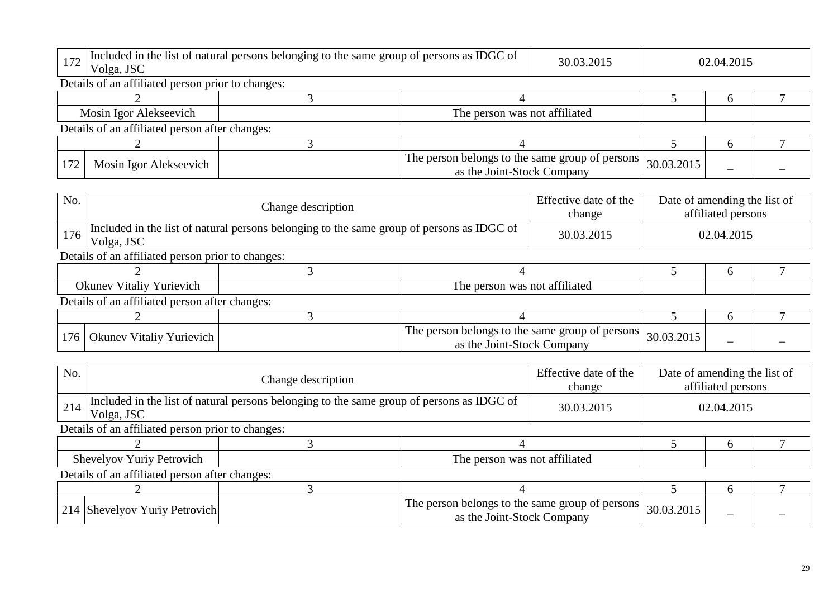| Included in the list of natural persons belonging to the same group of persons as IDGC of<br>172<br>Volga, JSC |                                                |            | 02.04.2015                                      |  |  |  |  |  |
|----------------------------------------------------------------------------------------------------------------|------------------------------------------------|------------|-------------------------------------------------|--|--|--|--|--|
| Details of an affiliated person prior to changes:                                                              |                                                |            |                                                 |  |  |  |  |  |
|                                                                                                                |                                                |            |                                                 |  |  |  |  |  |
| Mosin Igor Alekseevich<br>The person was not affiliated                                                        |                                                |            |                                                 |  |  |  |  |  |
|                                                                                                                |                                                |            |                                                 |  |  |  |  |  |
|                                                                                                                |                                                |            |                                                 |  |  |  |  |  |
|                                                                                                                | as the Joint-Stock Company                     | 30.03.2015 |                                                 |  |  |  |  |  |
|                                                                                                                | Details of an affiliated person after changes: | 30.03.2015 | The person belongs to the same group of persons |  |  |  |  |  |

| No. |                                                   | Change description                                                                        |                                                                               |  | Date of amending the list of | affiliated persons |  |  |  |  |
|-----|---------------------------------------------------|-------------------------------------------------------------------------------------------|-------------------------------------------------------------------------------|--|------------------------------|--------------------|--|--|--|--|
| 176 | Volga, JSC                                        | Included in the list of natural persons belonging to the same group of persons as IDGC of |                                                                               |  |                              | 02.04.2015         |  |  |  |  |
|     | Details of an affiliated person prior to changes: |                                                                                           |                                                                               |  |                              |                    |  |  |  |  |
|     |                                                   |                                                                                           |                                                                               |  |                              |                    |  |  |  |  |
|     | Okunev Vitaliy Yurievich                          |                                                                                           | The person was not affiliated                                                 |  |                              |                    |  |  |  |  |
|     | Details of an affiliated person after changes:    |                                                                                           |                                                                               |  |                              |                    |  |  |  |  |
|     |                                                   |                                                                                           |                                                                               |  |                              | h                  |  |  |  |  |
|     | 176   Okunev Vitaliy Yurievich                    |                                                                                           | The person belongs to the same group of persons<br>as the Joint-Stock Company |  | 30.03.2015                   |                    |  |  |  |  |

| No. |                                                   | Change description                                                                        |                                                                               |  | Date of amending the list of<br>affiliated persons |            |  |  |  |  |
|-----|---------------------------------------------------|-------------------------------------------------------------------------------------------|-------------------------------------------------------------------------------|--|----------------------------------------------------|------------|--|--|--|--|
| 214 | Volga, JSC                                        | Included in the list of natural persons belonging to the same group of persons as IDGC of |                                                                               |  |                                                    | 02.04.2015 |  |  |  |  |
|     | Details of an affiliated person prior to changes: |                                                                                           |                                                                               |  |                                                    |            |  |  |  |  |
|     |                                                   |                                                                                           |                                                                               |  |                                                    |            |  |  |  |  |
|     | Shevelyov Yuriy Petrovich                         |                                                                                           | The person was not affiliated                                                 |  |                                                    |            |  |  |  |  |
|     | Details of an affiliated person after changes:    |                                                                                           |                                                                               |  |                                                    |            |  |  |  |  |
|     |                                                   |                                                                                           |                                                                               |  | h                                                  |            |  |  |  |  |
|     | 214 Shevelyov Yuriy Petrovich                     |                                                                                           | The person belongs to the same group of persons<br>as the Joint-Stock Company |  | 30.03.2015                                         |            |  |  |  |  |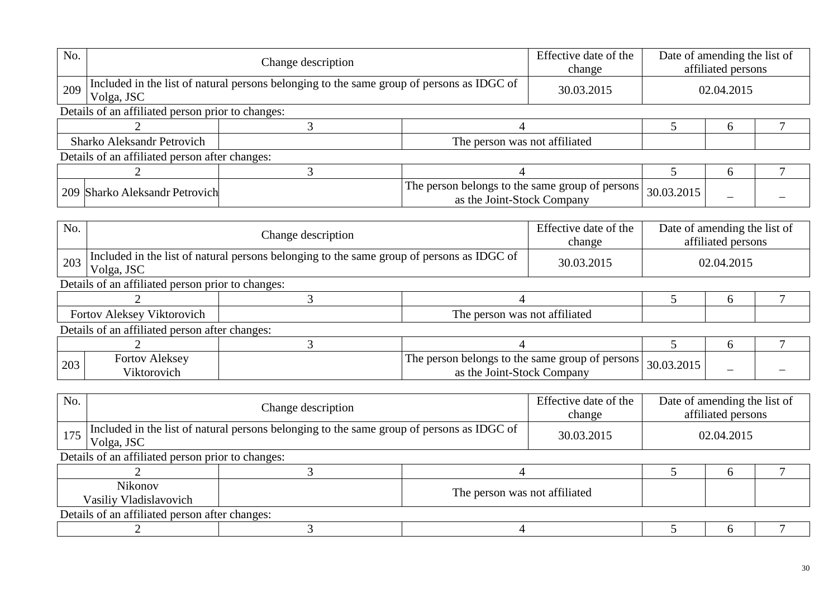| No. |                                                   | Change description                                                                        |                                                                                 |  | Date of amending the list of | affiliated persons |  |  |  |
|-----|---------------------------------------------------|-------------------------------------------------------------------------------------------|---------------------------------------------------------------------------------|--|------------------------------|--------------------|--|--|--|
| 209 | Volga, JSC                                        | Included in the list of natural persons belonging to the same group of persons as IDGC of | 30.03.2015                                                                      |  | 02.04.2015                   |                    |  |  |  |
|     | Details of an affiliated person prior to changes: |                                                                                           |                                                                                 |  |                              |                    |  |  |  |
|     |                                                   |                                                                                           |                                                                                 |  | h                            |                    |  |  |  |
|     | <b>Sharko Aleksandr Petrovich</b>                 |                                                                                           | The person was not affiliated                                                   |  |                              |                    |  |  |  |
|     | Details of an affiliated person after changes:    |                                                                                           |                                                                                 |  |                              |                    |  |  |  |
|     |                                                   |                                                                                           |                                                                                 |  |                              | h                  |  |  |  |
|     | 209 Sharko Aleksandr Petrovich                    |                                                                                           | The person belongs to the same group of persons  <br>as the Joint-Stock Company |  | 30.03.2015                   |                    |  |  |  |

| No. |                                                   | Change description                                                                        |                                                                                 |  | Date of amending the list of | affiliated persons |  |  |  |  |
|-----|---------------------------------------------------|-------------------------------------------------------------------------------------------|---------------------------------------------------------------------------------|--|------------------------------|--------------------|--|--|--|--|
| 203 | Volga, JSC                                        | Included in the list of natural persons belonging to the same group of persons as IDGC of |                                                                                 |  |                              | 02.04.2015         |  |  |  |  |
|     | Details of an affiliated person prior to changes: |                                                                                           |                                                                                 |  |                              |                    |  |  |  |  |
|     |                                                   |                                                                                           |                                                                                 |  | <sub>0</sub>                 |                    |  |  |  |  |
|     | Fortov Aleksey Viktorovich                        |                                                                                           | The person was not affiliated                                                   |  |                              |                    |  |  |  |  |
|     | Details of an affiliated person after changes:    |                                                                                           |                                                                                 |  |                              |                    |  |  |  |  |
|     |                                                   |                                                                                           |                                                                                 |  |                              | h                  |  |  |  |  |
| 203 | <b>Fortov Aleksey</b><br>Viktorovich              |                                                                                           | The person belongs to the same group of persons  <br>as the Joint-Stock Company |  | 30.03.2015                   |                    |  |  |  |  |

| No. | Change description                                                                                            |  |                               | Effective date of the<br>change |  | Date of amending the list of<br>affiliated persons |  |  |
|-----|---------------------------------------------------------------------------------------------------------------|--|-------------------------------|---------------------------------|--|----------------------------------------------------|--|--|
|     | $175$ Included in the list of natural persons belonging to the same group of persons as IDGC of<br>Volga, JSC |  |                               | 30.03.2015                      |  | 02.04.2015                                         |  |  |
|     | Details of an affiliated person prior to changes:                                                             |  |                               |                                 |  |                                                    |  |  |
|     |                                                                                                               |  |                               |                                 |  |                                                    |  |  |
|     | <b>Nikonov</b><br>Vasiliy Vladislavovich                                                                      |  | The person was not affiliated |                                 |  |                                                    |  |  |
|     | Details of an affiliated person after changes:                                                                |  |                               |                                 |  |                                                    |  |  |
|     |                                                                                                               |  |                               |                                 |  |                                                    |  |  |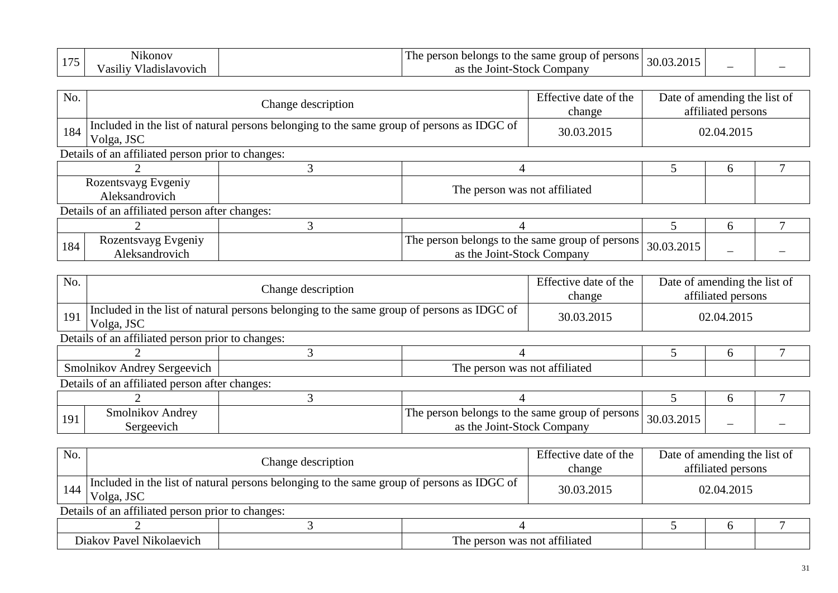| $-1$<br>N1konov                    | n<br>I he<br>persons<br>narcon<br>same<br>group of<br>belongs<br>) the<br>-80I<br>w | ⌒⌒         |  |
|------------------------------------|-------------------------------------------------------------------------------------|------------|--|
| r 71<br>' ladislavovich<br>asılı ( | the<br>Stock<br>Compan <sub>v</sub><br>Joint-<br>റ<br>u a                           | JU.UJ.ZUIJ |  |

| No. |                                                                                                         | Change description |                                                                               |            |              | Date of amending the list of<br>affiliated persons |  |
|-----|---------------------------------------------------------------------------------------------------------|--------------------|-------------------------------------------------------------------------------|------------|--------------|----------------------------------------------------|--|
| 184 | Included in the list of natural persons belonging to the same group of persons as IDGC of<br>Volga, JSC |                    |                                                                               | 30.03.2015 |              | 02.04.2015                                         |  |
|     | Details of an affiliated person prior to changes:                                                       |                    |                                                                               |            |              |                                                    |  |
|     |                                                                                                         |                    |                                                                               |            | <sub>0</sub> |                                                    |  |
|     | Rozentsvayg Evgeniy<br>Aleksandrovich                                                                   |                    | The person was not affiliated                                                 |            |              |                                                    |  |
|     | Details of an affiliated person after changes:                                                          |                    |                                                                               |            |              |                                                    |  |
|     |                                                                                                         |                    |                                                                               |            | <sub>6</sub> |                                                    |  |
| 184 | Rozentsvayg Evgeniy<br>Aleksandrovich                                                                   |                    | The person belongs to the same group of persons<br>as the Joint-Stock Company |            | 30.03.2015   |                                                    |  |

| No. |                                                                                                         | Change description |                                                                               |              |            | Date of amending the list of<br>affiliated persons |  |
|-----|---------------------------------------------------------------------------------------------------------|--------------------|-------------------------------------------------------------------------------|--------------|------------|----------------------------------------------------|--|
| 191 | Included in the list of natural persons belonging to the same group of persons as IDGC of<br>Volga, JSC |                    |                                                                               | 30.03.2015   |            | 02.04.2015                                         |  |
|     | Details of an affiliated person prior to changes:                                                       |                    |                                                                               |              |            |                                                    |  |
|     |                                                                                                         |                    |                                                                               | <sub>0</sub> |            |                                                    |  |
|     | Smolnikov Andrey Sergeevich                                                                             |                    | The person was not affiliated                                                 |              |            |                                                    |  |
|     | Details of an affiliated person after changes:                                                          |                    |                                                                               |              |            |                                                    |  |
|     |                                                                                                         |                    |                                                                               |              |            |                                                    |  |
| 191 | Smolnikov Andrey<br>Sergeevich                                                                          |                    | The person belongs to the same group of persons<br>as the Joint-Stock Company |              | 30.03.2015 |                                                    |  |

| No. | Change description                                                                                      | Effective date of the<br>change | Date of amending the list of<br>affiliated persons |
|-----|---------------------------------------------------------------------------------------------------------|---------------------------------|----------------------------------------------------|
| 144 | Included in the list of natural persons belonging to the same group of persons as IDGC of<br>Volga, JSC | 30.03.2015                      | 02.04.2015                                         |
|     | Details of an affiliated person prior to changes:                                                       |                                 |                                                    |

| <del>∠</del> ∧ ™<br>מזפי<br>Nikolaevi<br>лакс<br>71CL | n≏<br>attılıatı<br>not<br>pers<br>was<br>rson<br>$\blacksquare$ |  |  |
|-------------------------------------------------------|-----------------------------------------------------------------|--|--|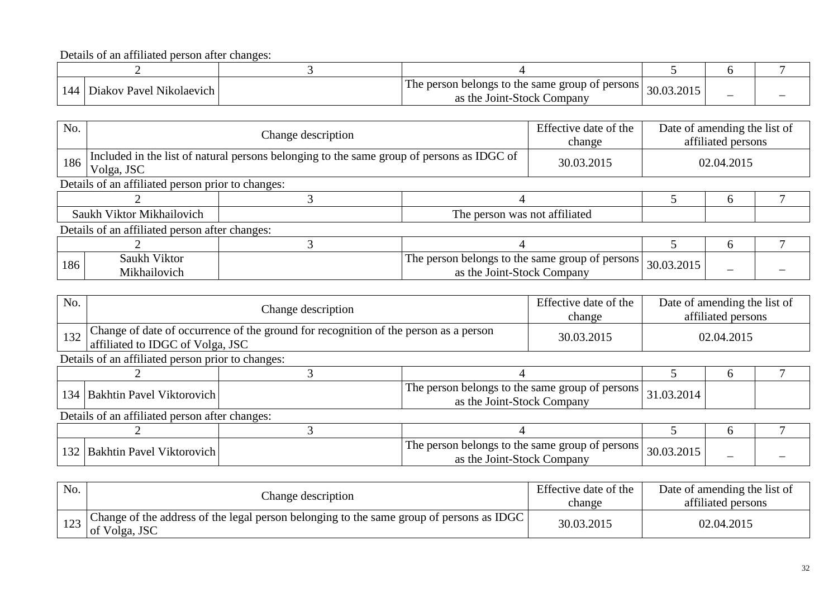Details of an affiliated person after changes:

| 144 | Diakov Pavel Nikolaevich | The person belongs to the same group of persons<br><b>Joint-Stock Company</b><br>as the | 30.03.2015 | – |  |
|-----|--------------------------|-----------------------------------------------------------------------------------------|------------|---|--|

| No. |                                                   | Change description                                                                        |                                                                               |  |            | Date of amending the list of<br>affiliated persons |  |
|-----|---------------------------------------------------|-------------------------------------------------------------------------------------------|-------------------------------------------------------------------------------|--|------------|----------------------------------------------------|--|
| 186 | Volga, JSC                                        | Included in the list of natural persons belonging to the same group of persons as IDGC of |                                                                               |  |            | 02.04.2015                                         |  |
|     | Details of an affiliated person prior to changes: |                                                                                           |                                                                               |  |            |                                                    |  |
|     |                                                   |                                                                                           |                                                                               |  |            | <sub>6</sub>                                       |  |
|     | Saukh Viktor Mikhailovich                         |                                                                                           | The person was not affiliated                                                 |  |            |                                                    |  |
|     | Details of an affiliated person after changes:    |                                                                                           |                                                                               |  |            |                                                    |  |
|     |                                                   |                                                                                           |                                                                               |  |            | <sub>6</sub>                                       |  |
| 186 | Saukh Viktor<br>Mikhailovich                      |                                                                                           | The person belongs to the same group of persons<br>as the Joint-Stock Company |  | 30.03.2015 |                                                    |  |

| No. |                                                                                                                          | Effective date of the<br>Change description |                                                                               |            |            | Date of amending the list of<br>affiliated persons |  |
|-----|--------------------------------------------------------------------------------------------------------------------------|---------------------------------------------|-------------------------------------------------------------------------------|------------|------------|----------------------------------------------------|--|
| 132 | Change of date of occurrence of the ground for recognition of the person as a person<br>affiliated to IDGC of Volga, JSC |                                             | 30.03.2015                                                                    | 02.04.2015 |            |                                                    |  |
|     | Details of an affiliated person prior to changes:                                                                        |                                             |                                                                               |            |            |                                                    |  |
|     |                                                                                                                          |                                             |                                                                               |            | h          |                                                    |  |
|     | 134   Bakhtin Pavel Viktorovich                                                                                          |                                             | The person belongs to the same group of persons<br>as the Joint-Stock Company |            | 31.03.2014 |                                                    |  |
|     | Details of an affiliated person after changes:                                                                           |                                             |                                                                               |            |            |                                                    |  |
|     |                                                                                                                          |                                             |                                                                               |            |            | h                                                  |  |
|     | 132   Bakhtin Pavel Viktorovich                                                                                          |                                             | The person belongs to the same group of persons<br>as the Joint-Stock Company |            | 30.03.2015 |                                                    |  |

| No. | Change description                                                                                                 | Effective date of the<br>change | Date of amending the list of<br>affiliated persons |
|-----|--------------------------------------------------------------------------------------------------------------------|---------------------------------|----------------------------------------------------|
|     | $_{122}$ Change of the address of the legal person belonging to the same group of persons as IDGC<br>of Volga, JSC | 30.03.2015                      | 02.04.2015                                         |